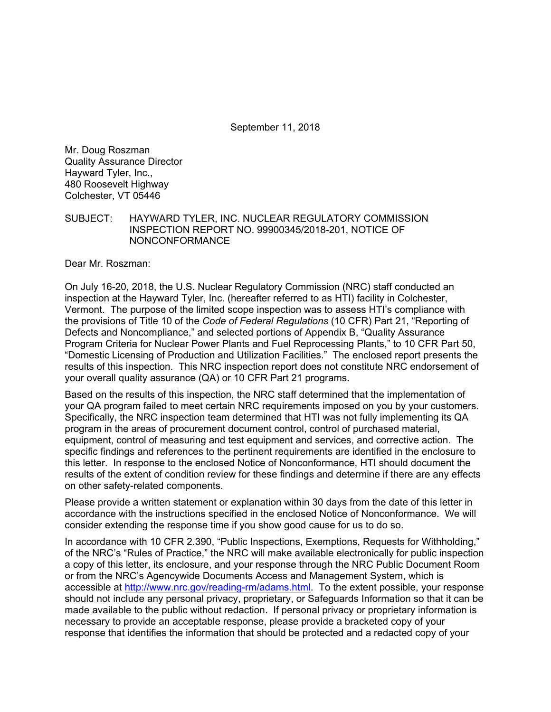September 11, 2018

Mr. Doug Roszman Quality Assurance Director Hayward Tyler, Inc., 480 Roosevelt Highway Colchester, VT 05446

SUBJECT: HAYWARD TYLER, INC. NUCLEAR REGULATORY COMMISSION INSPECTION REPORT NO. 99900345/2018-201, NOTICE OF NONCONFORMANCE

Dear Mr. Roszman:

On July 16-20, 2018, the U.S. Nuclear Regulatory Commission (NRC) staff conducted an inspection at the Hayward Tyler, Inc. (hereafter referred to as HTI) facility in Colchester, Vermont. The purpose of the limited scope inspection was to assess HTI's compliance with the provisions of Title 10 of the *Code of Federal Regulations* (10 CFR) Part 21, "Reporting of Defects and Noncompliance," and selected portions of Appendix B, "Quality Assurance Program Criteria for Nuclear Power Plants and Fuel Reprocessing Plants," to 10 CFR Part 50, "Domestic Licensing of Production and Utilization Facilities." The enclosed report presents the results of this inspection. This NRC inspection report does not constitute NRC endorsement of your overall quality assurance (QA) or 10 CFR Part 21 programs.

Based on the results of this inspection, the NRC staff determined that the implementation of your QA program failed to meet certain NRC requirements imposed on you by your customers. Specifically, the NRC inspection team determined that HTI was not fully implementing its QA program in the areas of procurement document control, control of purchased material, equipment, control of measuring and test equipment and services, and corrective action. The specific findings and references to the pertinent requirements are identified in the enclosure to this letter. In response to the enclosed Notice of Nonconformance, HTI should document the results of the extent of condition review for these findings and determine if there are any effects on other safety-related components.

Please provide a written statement or explanation within 30 days from the date of this letter in accordance with the instructions specified in the enclosed Notice of Nonconformance. We will consider extending the response time if you show good cause for us to do so.

In accordance with 10 CFR 2.390, "Public Inspections, Exemptions, Requests for Withholding," of the NRC's "Rules of Practice," the NRC will make available electronically for public inspection a copy of this letter, its enclosure, and your response through the NRC Public Document Room or from the NRC's Agencywide Documents Access and Management System, which is accessible at http://www.nrc.gov/reading-rm/adams.html. To the extent possible, your response should not include any personal privacy, proprietary, or Safeguards Information so that it can be made available to the public without redaction. If personal privacy or proprietary information is necessary to provide an acceptable response, please provide a bracketed copy of your response that identifies the information that should be protected and a redacted copy of your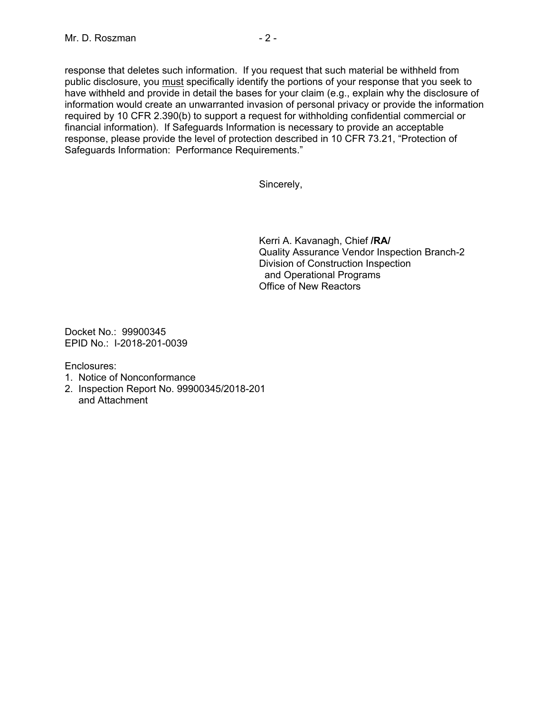response that deletes such information. If you request that such material be withheld from public disclosure, you must specifically identify the portions of your response that you seek to have withheld and provide in detail the bases for your claim (e.g., explain why the disclosure of information would create an unwarranted invasion of personal privacy or provide the information required by 10 CFR 2.390(b) to support a request for withholding confidential commercial or financial information). If Safeguards Information is necessary to provide an acceptable response, please provide the level of protection described in 10 CFR 73.21, "Protection of Safeguards Information: Performance Requirements."

Sincerely,

Kerri A. Kavanagh, Chief **/RA/**  Quality Assurance Vendor Inspection Branch-2 Division of Construction Inspection and Operational Programs Office of New Reactors

Docket No.: 99900345 EPID No.: I-2018-201-0039

Enclosures:

- 1. Notice of Nonconformance
- 2. Inspection Report No. 99900345/2018-201 and Attachment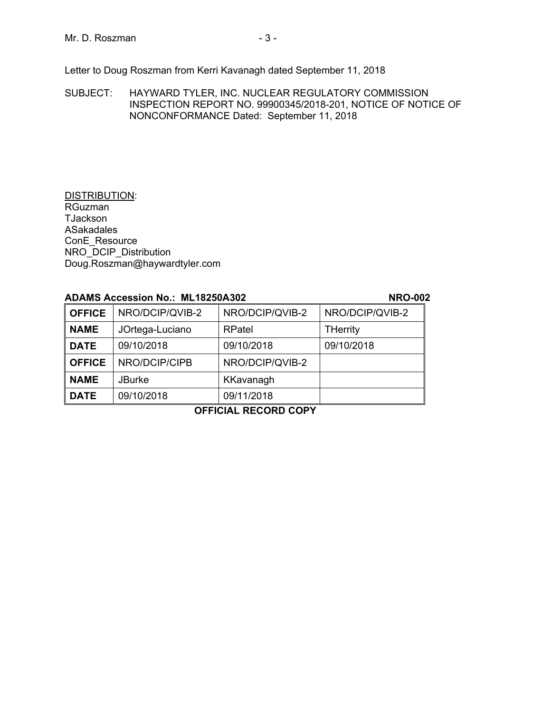Letter to Doug Roszman from Kerri Kavanagh dated September 11, 2018

SUBJECT: HAYWARD TYLER, INC. NUCLEAR REGULATORY COMMISSION INSPECTION REPORT NO. 99900345/2018-201, NOTICE OF NOTICE OF NONCONFORMANCE Dated: September 11, 2018

#### DISTRIBUTION: RGuzman **TJackson** ASakadales ConE\_Resource NRO\_DCIP\_Distribution Doug.Roszman@haywardtyler.com

## **ADAMS Accession No.: ML18250A302 NRO-002**

**OFFICE** NRO/DCIP/QVIB-2 NRO/DCIP/QVIB-2 NRO/DCIP/QVIB-2 **NAME** JOrtega-Luciano | RPatel | THerrity **DATE** 09/10/2018 09/10/2018 09/10/2018 **OFFICE** NRO/DCIP/CIPB NRO/DCIP/QVIB-2 **NAME** JBurke | KKavanagh **DATE** 09/10/2018 09/11/2018

# **OFFICIAL RECORD COPY**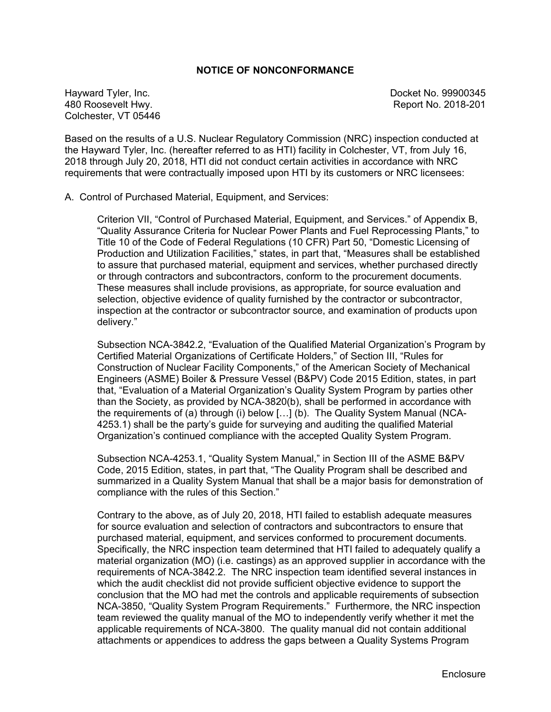#### **NOTICE OF NONCONFORMANCE**

Hayward Tyler, Inc. Docket No. 99900345 480 Roosevelt Hwy. Report No. 2018-201 Colchester, VT 05446

Based on the results of a U.S. Nuclear Regulatory Commission (NRC) inspection conducted at the Hayward Tyler, Inc. (hereafter referred to as HTI) facility in Colchester, VT, from July 16, 2018 through July 20, 2018, HTI did not conduct certain activities in accordance with NRC requirements that were contractually imposed upon HTI by its customers or NRC licensees:

A. Control of Purchased Material, Equipment, and Services:

 Criterion VII, "Control of Purchased Material, Equipment, and Services." of Appendix B, "Quality Assurance Criteria for Nuclear Power Plants and Fuel Reprocessing Plants," to Title 10 of the Code of Federal Regulations (10 CFR) Part 50, "Domestic Licensing of Production and Utilization Facilities," states, in part that, "Measures shall be established to assure that purchased material, equipment and services, whether purchased directly or through contractors and subcontractors, conform to the procurement documents. These measures shall include provisions, as appropriate, for source evaluation and selection, objective evidence of quality furnished by the contractor or subcontractor, inspection at the contractor or subcontractor source, and examination of products upon delivery."

 Subsection NCA-3842.2, "Evaluation of the Qualified Material Organization's Program by Certified Material Organizations of Certificate Holders," of Section III, "Rules for Construction of Nuclear Facility Components," of the American Society of Mechanical Engineers (ASME) Boiler & Pressure Vessel (B&PV) Code 2015 Edition, states, in part that, "Evaluation of a Material Organization's Quality System Program by parties other than the Society, as provided by NCA-3820(b), shall be performed in accordance with the requirements of (a) through (i) below […] (b). The Quality System Manual (NCA-4253.1) shall be the party's guide for surveying and auditing the qualified Material Organization's continued compliance with the accepted Quality System Program.

Subsection NCA-4253.1, "Quality System Manual," in Section III of the ASME B&PV Code, 2015 Edition, states, in part that, "The Quality Program shall be described and summarized in a Quality System Manual that shall be a major basis for demonstration of compliance with the rules of this Section."

Contrary to the above, as of July 20, 2018, HTI failed to establish adequate measures for source evaluation and selection of contractors and subcontractors to ensure that purchased material, equipment, and services conformed to procurement documents. Specifically, the NRC inspection team determined that HTI failed to adequately qualify a material organization (MO) (i.e. castings) as an approved supplier in accordance with the requirements of NCA-3842.2. The NRC inspection team identified several instances in which the audit checklist did not provide sufficient objective evidence to support the conclusion that the MO had met the controls and applicable requirements of subsection NCA-3850, "Quality System Program Requirements." Furthermore, the NRC inspection team reviewed the quality manual of the MO to independently verify whether it met the applicable requirements of NCA-3800. The quality manual did not contain additional attachments or appendices to address the gaps between a Quality Systems Program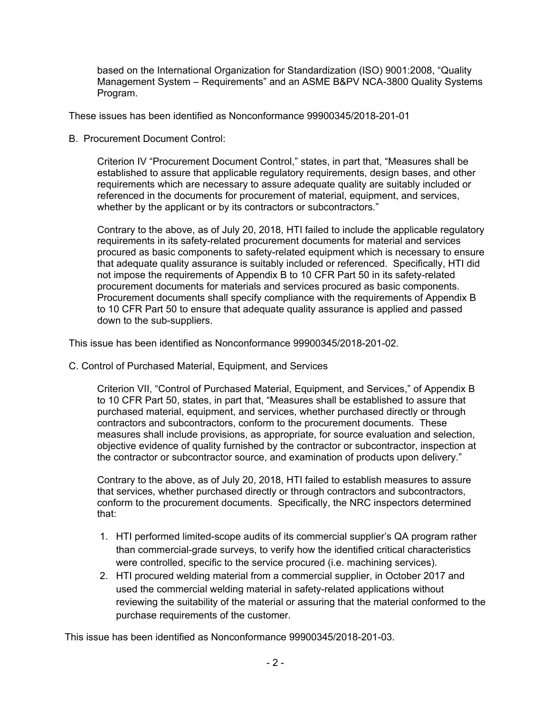based on the International Organization for Standardization (ISO) 9001:2008, "Quality Management System – Requirements" and an ASME B&PV NCA-3800 Quality Systems Program.

These issues has been identified as Nonconformance 99900345/2018-201-01

B. Procurement Document Control:

Criterion IV "Procurement Document Control," states, in part that, "Measures shall be established to assure that applicable regulatory requirements, design bases, and other requirements which are necessary to assure adequate quality are suitably included or referenced in the documents for procurement of material, equipment, and services, whether by the applicant or by its contractors or subcontractors."

Contrary to the above, as of July 20, 2018, HTI failed to include the applicable regulatory requirements in its safety-related procurement documents for material and services procured as basic components to safety-related equipment which is necessary to ensure that adequate quality assurance is suitably included or referenced. Specifically, HTI did not impose the requirements of Appendix B to 10 CFR Part 50 in its safety-related procurement documents for materials and services procured as basic components. Procurement documents shall specify compliance with the requirements of Appendix B to 10 CFR Part 50 to ensure that adequate quality assurance is applied and passed down to the sub-suppliers.

This issue has been identified as Nonconformance 99900345/2018-201-02.

C. Control of Purchased Material, Equipment, and Services

Criterion VII, "Control of Purchased Material, Equipment, and Services," of Appendix B to 10 CFR Part 50, states, in part that, "Measures shall be established to assure that purchased material, equipment, and services, whether purchased directly or through contractors and subcontractors, conform to the procurement documents. These measures shall include provisions, as appropriate, for source evaluation and selection, objective evidence of quality furnished by the contractor or subcontractor, inspection at the contractor or subcontractor source, and examination of products upon delivery."

Contrary to the above, as of July 20, 2018, HTI failed to establish measures to assure that services, whether purchased directly or through contractors and subcontractors, conform to the procurement documents. Specifically, the NRC inspectors determined that:

- 1. HTI performed limited-scope audits of its commercial supplier's QA program rather than commercial-grade surveys, to verify how the identified critical characteristics were controlled, specific to the service procured (i.e. machining services).
- 2. HTI procured welding material from a commercial supplier, in October 2017 and used the commercial welding material in safety-related applications without reviewing the suitability of the material or assuring that the material conformed to the purchase requirements of the customer.

This issue has been identified as Nonconformance 99900345/2018-201-03.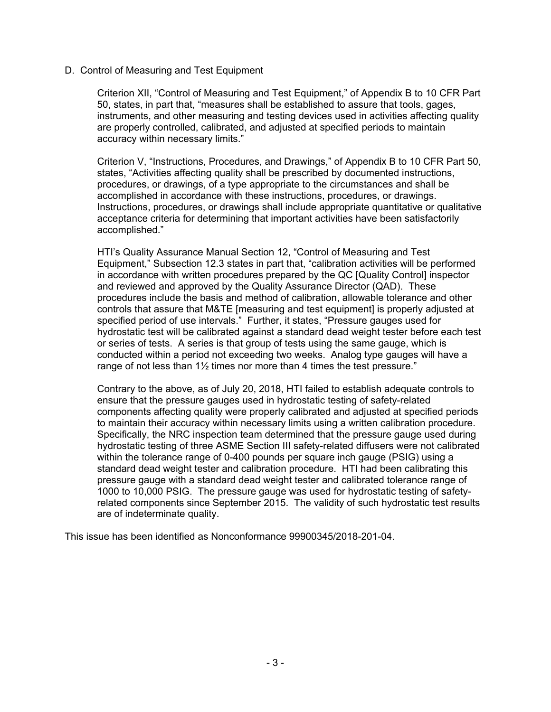#### D. Control of Measuring and Test Equipment

Criterion XII, "Control of Measuring and Test Equipment," of Appendix B to 10 CFR Part 50, states, in part that, "measures shall be established to assure that tools, gages, instruments, and other measuring and testing devices used in activities affecting quality are properly controlled, calibrated, and adjusted at specified periods to maintain accuracy within necessary limits."

Criterion V, "Instructions, Procedures, and Drawings," of Appendix B to 10 CFR Part 50, states, "Activities affecting quality shall be prescribed by documented instructions, procedures, or drawings, of a type appropriate to the circumstances and shall be accomplished in accordance with these instructions, procedures, or drawings. Instructions, procedures, or drawings shall include appropriate quantitative or qualitative acceptance criteria for determining that important activities have been satisfactorily accomplished."

HTI's Quality Assurance Manual Section 12, "Control of Measuring and Test Equipment," Subsection 12.3 states in part that, "calibration activities will be performed in accordance with written procedures prepared by the QC [Quality Control] inspector and reviewed and approved by the Quality Assurance Director (QAD). These procedures include the basis and method of calibration, allowable tolerance and other controls that assure that M&TE [measuring and test equipment] is properly adjusted at specified period of use intervals." Further, it states, "Pressure gauges used for hydrostatic test will be calibrated against a standard dead weight tester before each test or series of tests. A series is that group of tests using the same gauge, which is conducted within a period not exceeding two weeks. Analog type gauges will have a range of not less than 1½ times nor more than 4 times the test pressure."

Contrary to the above, as of July 20, 2018, HTI failed to establish adequate controls to ensure that the pressure gauges used in hydrostatic testing of safety-related components affecting quality were properly calibrated and adjusted at specified periods to maintain their accuracy within necessary limits using a written calibration procedure. Specifically, the NRC inspection team determined that the pressure gauge used during hydrostatic testing of three ASME Section III safety-related diffusers were not calibrated within the tolerance range of 0-400 pounds per square inch gauge (PSIG) using a standard dead weight tester and calibration procedure. HTI had been calibrating this pressure gauge with a standard dead weight tester and calibrated tolerance range of 1000 to 10,000 PSIG. The pressure gauge was used for hydrostatic testing of safetyrelated components since September 2015. The validity of such hydrostatic test results are of indeterminate quality.

This issue has been identified as Nonconformance 99900345/2018-201-04.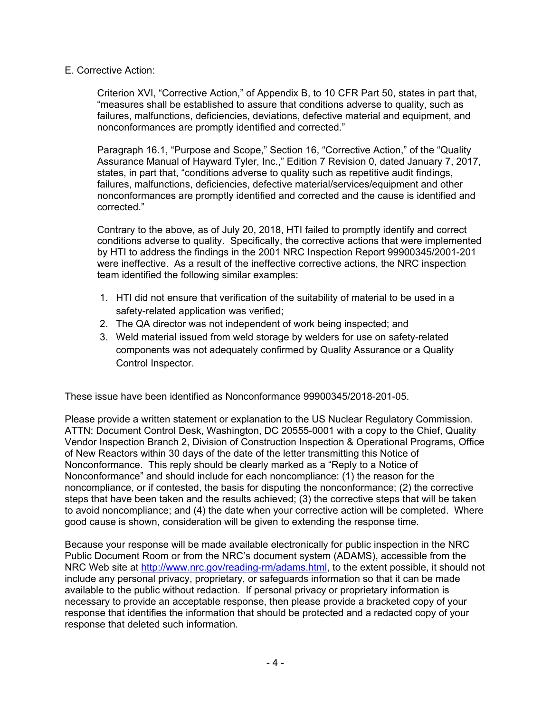E. Corrective Action:

Criterion XVI, "Corrective Action," of Appendix B, to 10 CFR Part 50, states in part that, "measures shall be established to assure that conditions adverse to quality, such as failures, malfunctions, deficiencies, deviations, defective material and equipment, and nonconformances are promptly identified and corrected."

Paragraph 16.1, "Purpose and Scope," Section 16, "Corrective Action," of the "Quality Assurance Manual of Hayward Tyler, Inc.," Edition 7 Revision 0, dated January 7, 2017, states, in part that, "conditions adverse to quality such as repetitive audit findings, failures, malfunctions, deficiencies, defective material/services/equipment and other nonconformances are promptly identified and corrected and the cause is identified and corrected."

Contrary to the above, as of July 20, 2018, HTI failed to promptly identify and correct conditions adverse to quality. Specifically, the corrective actions that were implemented by HTI to address the findings in the 2001 NRC Inspection Report 99900345/2001-201 were ineffective. As a result of the ineffective corrective actions, the NRC inspection team identified the following similar examples:

- 1. HTI did not ensure that verification of the suitability of material to be used in a safety-related application was verified;
- 2. The QA director was not independent of work being inspected; and
- 3. Weld material issued from weld storage by welders for use on safety-related components was not adequately confirmed by Quality Assurance or a Quality Control Inspector.

These issue have been identified as Nonconformance 99900345/2018-201-05.

Please provide a written statement or explanation to the US Nuclear Regulatory Commission. ATTN: Document Control Desk, Washington, DC 20555-0001 with a copy to the Chief, Quality Vendor Inspection Branch 2, Division of Construction Inspection & Operational Programs, Office of New Reactors within 30 days of the date of the letter transmitting this Notice of Nonconformance. This reply should be clearly marked as a "Reply to a Notice of Nonconformance" and should include for each noncompliance: (1) the reason for the noncompliance, or if contested, the basis for disputing the nonconformance; (2) the corrective steps that have been taken and the results achieved; (3) the corrective steps that will be taken to avoid noncompliance; and (4) the date when your corrective action will be completed. Where good cause is shown, consideration will be given to extending the response time.

Because your response will be made available electronically for public inspection in the NRC Public Document Room or from the NRC's document system (ADAMS), accessible from the NRC Web site at http://www.nrc.gov/reading-rm/adams.html, to the extent possible, it should not include any personal privacy, proprietary, or safeguards information so that it can be made available to the public without redaction. If personal privacy or proprietary information is necessary to provide an acceptable response, then please provide a bracketed copy of your response that identifies the information that should be protected and a redacted copy of your response that deleted such information.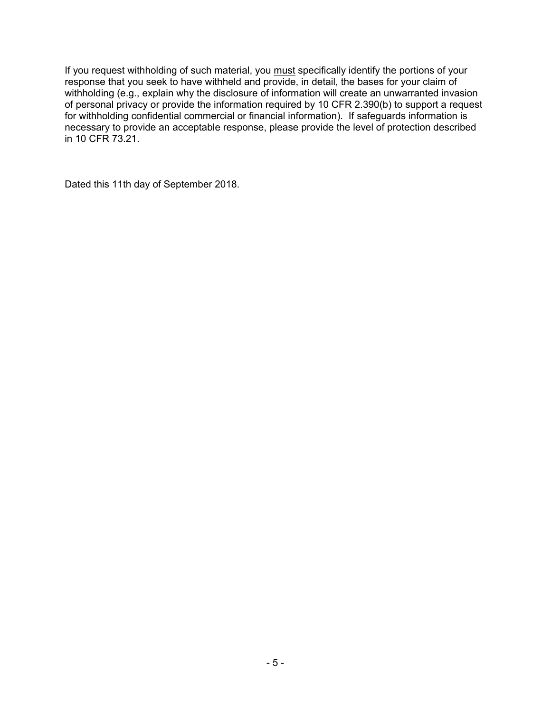If you request withholding of such material, you must specifically identify the portions of your response that you seek to have withheld and provide, in detail, the bases for your claim of withholding (e.g., explain why the disclosure of information will create an unwarranted invasion of personal privacy or provide the information required by 10 CFR 2.390(b) to support a request for withholding confidential commercial or financial information). If safeguards information is necessary to provide an acceptable response, please provide the level of protection described in 10 CFR 73.21.

Dated this 11th day of September 2018.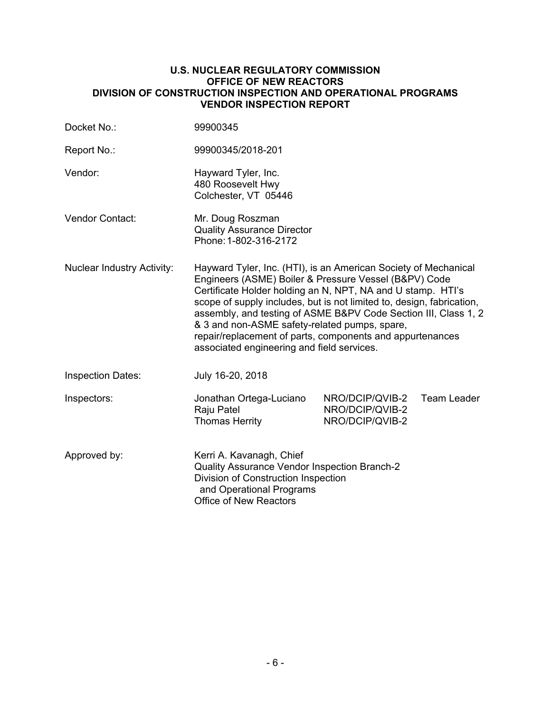#### **U.S. NUCLEAR REGULATORY COMMISSION OFFICE OF NEW REACTORS DIVISION OF CONSTRUCTION INSPECTION AND OPERATIONAL PROGRAMS VENDOR INSPECTION REPORT**

| Docket No.:                       | 99900345                                                                                                                                                                                                                                                                                                                                                                                                                                                                                        |                                                       |             |
|-----------------------------------|-------------------------------------------------------------------------------------------------------------------------------------------------------------------------------------------------------------------------------------------------------------------------------------------------------------------------------------------------------------------------------------------------------------------------------------------------------------------------------------------------|-------------------------------------------------------|-------------|
| Report No.:                       | 99900345/2018-201                                                                                                                                                                                                                                                                                                                                                                                                                                                                               |                                                       |             |
| Vendor:                           | Hayward Tyler, Inc.<br>480 Roosevelt Hwy<br>Colchester, VT 05446                                                                                                                                                                                                                                                                                                                                                                                                                                |                                                       |             |
| Vendor Contact:                   | Mr. Doug Roszman<br><b>Quality Assurance Director</b><br>Phone: 1-802-316-2172                                                                                                                                                                                                                                                                                                                                                                                                                  |                                                       |             |
| <b>Nuclear Industry Activity:</b> | Hayward Tyler, Inc. (HTI), is an American Society of Mechanical<br>Engineers (ASME) Boiler & Pressure Vessel (B&PV) Code<br>Certificate Holder holding an N, NPT, NA and U stamp. HTI's<br>scope of supply includes, but is not limited to, design, fabrication,<br>assembly, and testing of ASME B&PV Code Section III, Class 1, 2<br>& 3 and non-ASME safety-related pumps, spare,<br>repair/replacement of parts, components and appurtenances<br>associated engineering and field services. |                                                       |             |
| <b>Inspection Dates:</b>          | July 16-20, 2018                                                                                                                                                                                                                                                                                                                                                                                                                                                                                |                                                       |             |
| Inspectors:                       | Jonathan Ortega-Luciano<br>Raju Patel<br><b>Thomas Herrity</b>                                                                                                                                                                                                                                                                                                                                                                                                                                  | NRO/DCIP/QVIB-2<br>NRO/DCIP/QVIB-2<br>NRO/DCIP/QVIB-2 | Team Leader |
| Approved by:                      | Kerri A. Kavanagh, Chief<br>Quality Assurance Vendor Inspection Branch-2<br>Division of Construction Inspection<br>and Operational Programs<br><b>Office of New Reactors</b>                                                                                                                                                                                                                                                                                                                    |                                                       |             |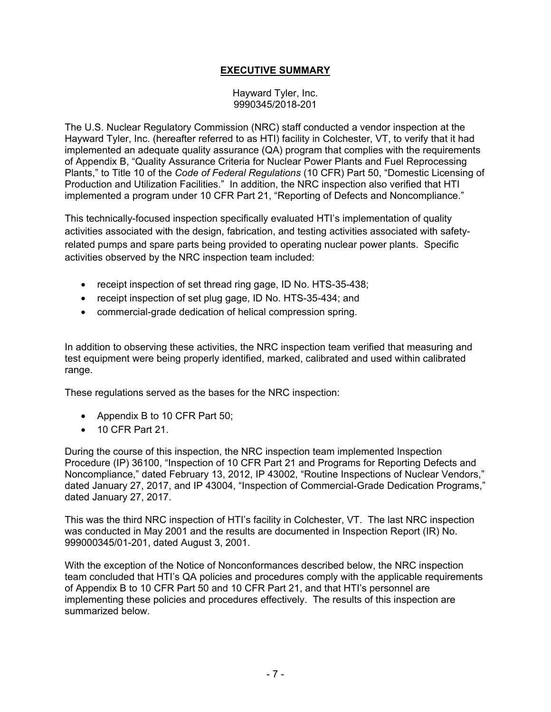# **EXECUTIVE SUMMARY**

#### Hayward Tyler, Inc. 9990345/2018-201

The U.S. Nuclear Regulatory Commission (NRC) staff conducted a vendor inspection at the Hayward Tyler, Inc. (hereafter referred to as HTI) facility in Colchester, VT, to verify that it had implemented an adequate quality assurance (QA) program that complies with the requirements of Appendix B, "Quality Assurance Criteria for Nuclear Power Plants and Fuel Reprocessing Plants," to Title 10 of the *Code of Federal Regulations* (10 CFR) Part 50, "Domestic Licensing of Production and Utilization Facilities." In addition, the NRC inspection also verified that HTI implemented a program under 10 CFR Part 21, "Reporting of Defects and Noncompliance."

This technically-focused inspection specifically evaluated HTI's implementation of quality activities associated with the design, fabrication, and testing activities associated with safetyrelated pumps and spare parts being provided to operating nuclear power plants. Specific activities observed by the NRC inspection team included:

- receipt inspection of set thread ring gage, ID No. HTS-35-438;
- receipt inspection of set plug gage, ID No. HTS-35-434; and
- commercial-grade dedication of helical compression spring.

In addition to observing these activities, the NRC inspection team verified that measuring and test equipment were being properly identified, marked, calibrated and used within calibrated range.

These regulations served as the bases for the NRC inspection:

- Appendix B to 10 CFR Part 50;
- 10 CFR Part 21.

During the course of this inspection, the NRC inspection team implemented Inspection Procedure (IP) 36100, "Inspection of 10 CFR Part 21 and Programs for Reporting Defects and Noncompliance," dated February 13, 2012, IP 43002, "Routine Inspections of Nuclear Vendors," dated January 27, 2017, and IP 43004, "Inspection of Commercial-Grade Dedication Programs," dated January 27, 2017.

This was the third NRC inspection of HTI's facility in Colchester, VT. The last NRC inspection was conducted in May 2001 and the results are documented in Inspection Report (IR) No. 999000345/01-201, dated August 3, 2001.

With the exception of the Notice of Nonconformances described below, the NRC inspection team concluded that HTI's QA policies and procedures comply with the applicable requirements of Appendix B to 10 CFR Part 50 and 10 CFR Part 21, and that HTI's personnel are implementing these policies and procedures effectively. The results of this inspection are summarized below.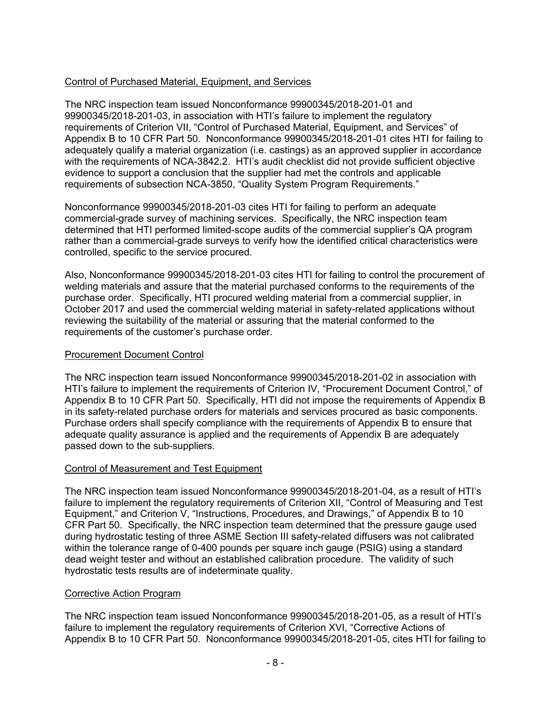## Control of Purchased Material, Equipment, and Services

The NRC inspection team issued Nonconformance 99900345/2018-201-01 and 99900345/2018-201-03, in association with HTI's failure to implement the regulatory requirements of Criterion VII, "Control of Purchased Material, Equipment, and Services" of Appendix B to 10 CFR Part 50. Nonconformance 99900345/2018-201-01 cites HTI for failing to adequately qualify a material organization (i.e. castings) as an approved supplier in accordance with the requirements of NCA-3842.2. HTI's audit checklist did not provide sufficient objective evidence to support a conclusion that the supplier had met the controls and applicable requirements of subsection NCA-3850, "Quality System Program Requirements."

Nonconformance 99900345/2018-201-03 cites HTI for failing to perform an adequate commercial-grade survey of machining services. Specifically, the NRC inspection team determined that HTI performed limited-scope audits of the commercial supplier's QA program rather than a commercial-grade surveys to verify how the identified critical characteristics were controlled, specific to the service procured.

Also, Nonconformance 99900345/2018-201-03 cites HTI for failing to control the procurement of welding materials and assure that the material purchased conforms to the requirements of the purchase order. Specifically, HTI procured welding material from a commercial supplier, in October 2017 and used the commercial welding material in safety-related applications without reviewing the suitability of the material or assuring that the material conformed to the requirements of the customer's purchase order.

## Procurement Document Control

The NRC inspection team issued Nonconformance 99900345/2018-201-02 in association with HTI's failure to implement the requirements of Criterion IV, "Procurement Document Control," of Appendix B to 10 CFR Part 50. Specifically, HTI did not impose the requirements of Appendix B in its safety-related purchase orders for materials and services procured as basic components. Purchase orders shall specify compliance with the requirements of Appendix B to ensure that adequate quality assurance is applied and the requirements of Appendix B are adequately passed down to the sub-suppliers.

## Control of Measurement and Test Equipment

The NRC inspection team issued Nonconformance 99900345/2018-201-04, as a result of HTI's failure to implement the regulatory requirements of Criterion XII, "Control of Measuring and Test Equipment," and Criterion V, "Instructions, Procedures, and Drawings," of Appendix B to 10 CFR Part 50. Specifically, the NRC inspection team determined that the pressure gauge used during hydrostatic testing of three ASME Section III safety-related diffusers was not calibrated within the tolerance range of 0-400 pounds per square inch gauge (PSIG) using a standard dead weight tester and without an established calibration procedure. The validity of such hydrostatic tests results are of indeterminate quality.

#### Corrective Action Program

The NRC inspection team issued Nonconformance 99900345/2018-201-05, as a result of HTI's failure to implement the regulatory requirements of Criterion XVI, "Corrective Actions of Appendix B to 10 CFR Part 50. Nonconformance 99900345/2018-201-05, cites HTI for failing to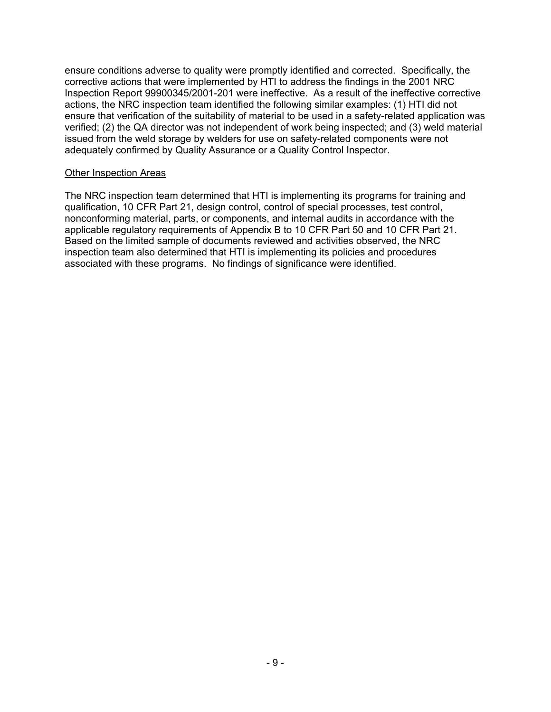ensure conditions adverse to quality were promptly identified and corrected. Specifically, the corrective actions that were implemented by HTI to address the findings in the 2001 NRC Inspection Report 99900345/2001-201 were ineffective. As a result of the ineffective corrective actions, the NRC inspection team identified the following similar examples: (1) HTI did not ensure that verification of the suitability of material to be used in a safety-related application was verified; (2) the QA director was not independent of work being inspected; and (3) weld material issued from the weld storage by welders for use on safety-related components were not adequately confirmed by Quality Assurance or a Quality Control Inspector.

#### Other Inspection Areas

The NRC inspection team determined that HTI is implementing its programs for training and qualification, 10 CFR Part 21, design control, control of special processes, test control, nonconforming material, parts, or components, and internal audits in accordance with the applicable regulatory requirements of Appendix B to 10 CFR Part 50 and 10 CFR Part 21. Based on the limited sample of documents reviewed and activities observed, the NRC inspection team also determined that HTI is implementing its policies and procedures associated with these programs. No findings of significance were identified.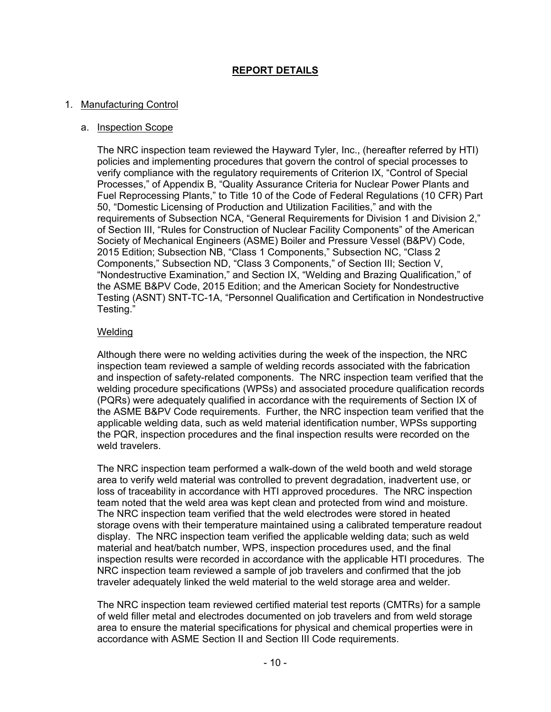## **REPORT DETAILS**

#### 1. Manufacturing Control

#### a. Inspection Scope

The NRC inspection team reviewed the Hayward Tyler, Inc., (hereafter referred by HTI) policies and implementing procedures that govern the control of special processes to verify compliance with the regulatory requirements of Criterion IX, "Control of Special Processes," of Appendix B, "Quality Assurance Criteria for Nuclear Power Plants and Fuel Reprocessing Plants," to Title 10 of the Code of Federal Regulations (10 CFR) Part 50, "Domestic Licensing of Production and Utilization Facilities," and with the requirements of Subsection NCA, "General Requirements for Division 1 and Division 2," of Section III, "Rules for Construction of Nuclear Facility Components" of the American Society of Mechanical Engineers (ASME) Boiler and Pressure Vessel (B&PV) Code, 2015 Edition; Subsection NB, "Class 1 Components," Subsection NC, "Class 2 Components," Subsection ND, "Class 3 Components," of Section III; Section V, "Nondestructive Examination," and Section IX, "Welding and Brazing Qualification," of the ASME B&PV Code, 2015 Edition; and the American Society for Nondestructive Testing (ASNT) SNT-TC-1A, "Personnel Qualification and Certification in Nondestructive Testing."

#### Welding

Although there were no welding activities during the week of the inspection, the NRC inspection team reviewed a sample of welding records associated with the fabrication and inspection of safety-related components. The NRC inspection team verified that the welding procedure specifications (WPSs) and associated procedure qualification records (PQRs) were adequately qualified in accordance with the requirements of Section IX of the ASME B&PV Code requirements. Further, the NRC inspection team verified that the applicable welding data, such as weld material identification number, WPSs supporting the PQR, inspection procedures and the final inspection results were recorded on the weld travelers.

The NRC inspection team performed a walk-down of the weld booth and weld storage area to verify weld material was controlled to prevent degradation, inadvertent use, or loss of traceability in accordance with HTI approved procedures. The NRC inspection team noted that the weld area was kept clean and protected from wind and moisture. The NRC inspection team verified that the weld electrodes were stored in heated storage ovens with their temperature maintained using a calibrated temperature readout display. The NRC inspection team verified the applicable welding data; such as weld material and heat/batch number, WPS, inspection procedures used, and the final inspection results were recorded in accordance with the applicable HTI procedures. The NRC inspection team reviewed a sample of job travelers and confirmed that the job traveler adequately linked the weld material to the weld storage area and welder.

The NRC inspection team reviewed certified material test reports (CMTRs) for a sample of weld filler metal and electrodes documented on job travelers and from weld storage area to ensure the material specifications for physical and chemical properties were in accordance with ASME Section II and Section III Code requirements.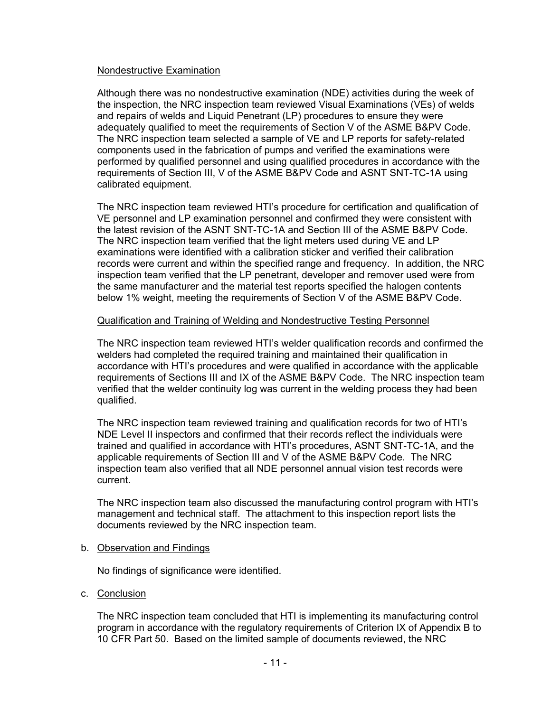#### Nondestructive Examination

Although there was no nondestructive examination (NDE) activities during the week of the inspection, the NRC inspection team reviewed Visual Examinations (VEs) of welds and repairs of welds and Liquid Penetrant (LP) procedures to ensure they were adequately qualified to meet the requirements of Section V of the ASME B&PV Code. The NRC inspection team selected a sample of VE and LP reports for safety-related components used in the fabrication of pumps and verified the examinations were performed by qualified personnel and using qualified procedures in accordance with the requirements of Section III, V of the ASME B&PV Code and ASNT SNT-TC-1A using calibrated equipment.

The NRC inspection team reviewed HTI's procedure for certification and qualification of VE personnel and LP examination personnel and confirmed they were consistent with the latest revision of the ASNT SNT-TC-1A and Section III of the ASME B&PV Code. The NRC inspection team verified that the light meters used during VE and LP examinations were identified with a calibration sticker and verified their calibration records were current and within the specified range and frequency. In addition, the NRC inspection team verified that the LP penetrant, developer and remover used were from the same manufacturer and the material test reports specified the halogen contents below 1% weight, meeting the requirements of Section V of the ASME B&PV Code.

#### Qualification and Training of Welding and Nondestructive Testing Personnel

The NRC inspection team reviewed HTI's welder qualification records and confirmed the welders had completed the required training and maintained their qualification in accordance with HTI's procedures and were qualified in accordance with the applicable requirements of Sections III and IX of the ASME B&PV Code. The NRC inspection team verified that the welder continuity log was current in the welding process they had been qualified.

The NRC inspection team reviewed training and qualification records for two of HTI's NDE Level II inspectors and confirmed that their records reflect the individuals were trained and qualified in accordance with HTI's procedures, ASNT SNT-TC-1A, and the applicable requirements of Section III and V of the ASME B&PV Code. The NRC inspection team also verified that all NDE personnel annual vision test records were current.

The NRC inspection team also discussed the manufacturing control program with HTI's management and technical staff. The attachment to this inspection report lists the documents reviewed by the NRC inspection team.

#### b. Observation and Findings

No findings of significance were identified.

c. Conclusion

The NRC inspection team concluded that HTI is implementing its manufacturing control program in accordance with the regulatory requirements of Criterion IX of Appendix B to 10 CFR Part 50. Based on the limited sample of documents reviewed, the NRC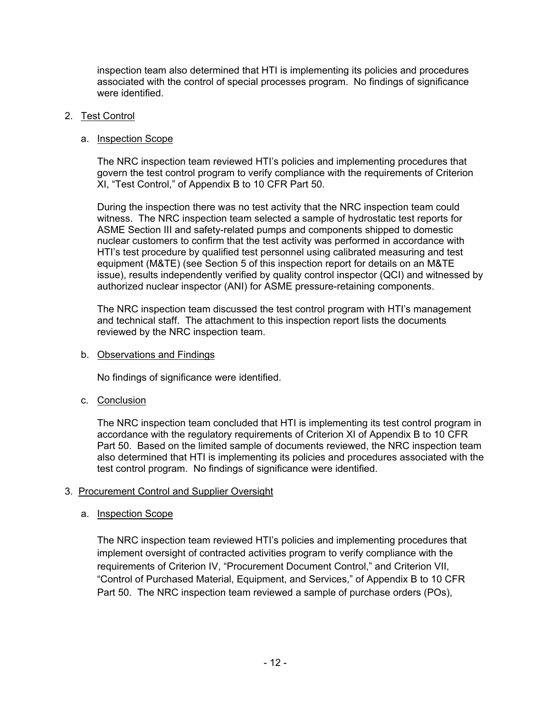inspection team also determined that HTI is implementing its policies and procedures associated with the control of special processes program. No findings of significance were identified.

## 2. Test Control

## a. Inspection Scope

The NRC inspection team reviewed HTI's policies and implementing procedures that govern the test control program to verify compliance with the requirements of Criterion XI, "Test Control," of Appendix B to 10 CFR Part 50.

During the inspection there was no test activity that the NRC inspection team could witness. The NRC inspection team selected a sample of hydrostatic test reports for ASME Section III and safety-related pumps and components shipped to domestic nuclear customers to confirm that the test activity was performed in accordance with HTI's test procedure by qualified test personnel using calibrated measuring and test equipment (M&TE) (see Section 5 of this inspection report for details on an M&TE issue), results independently verified by quality control inspector (QCI) and witnessed by authorized nuclear inspector (ANI) for ASME pressure-retaining components.

The NRC inspection team discussed the test control program with HTI's management and technical staff. The attachment to this inspection report lists the documents reviewed by the NRC inspection team.

## b. Observations and Findings

No findings of significance were identified.

c. Conclusion

The NRC inspection team concluded that HTI is implementing its test control program in accordance with the regulatory requirements of Criterion XI of Appendix B to 10 CFR Part 50. Based on the limited sample of documents reviewed, the NRC inspection team also determined that HTI is implementing its policies and procedures associated with the test control program. No findings of significance were identified.

# 3. Procurement Control and Supplier Oversight

# a. Inspection Scope

The NRC inspection team reviewed HTI's policies and implementing procedures that implement oversight of contracted activities program to verify compliance with the requirements of Criterion IV, "Procurement Document Control," and Criterion VII, "Control of Purchased Material, Equipment, and Services," of Appendix B to 10 CFR Part 50. The NRC inspection team reviewed a sample of purchase orders (POs),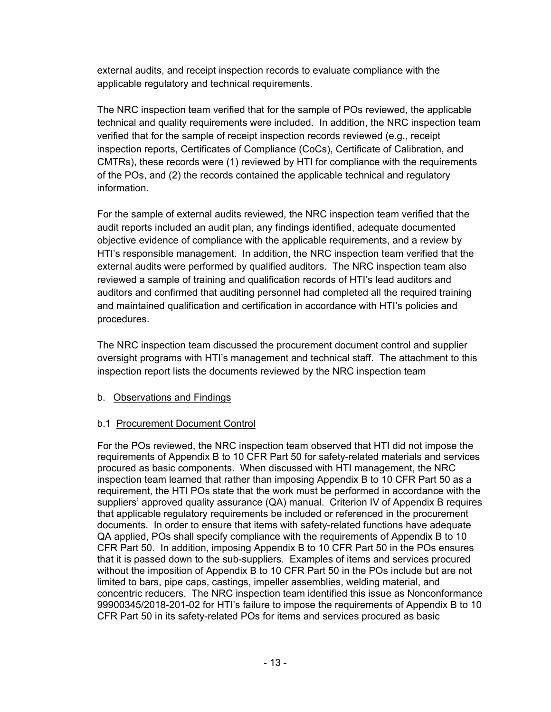external audits, and receipt inspection records to evaluate compliance with the applicable regulatory and technical requirements.

The NRC inspection team verified that for the sample of POs reviewed, the applicable technical and quality requirements were included. In addition, the NRC inspection team verified that for the sample of receipt inspection records reviewed (e.g., receipt inspection reports, Certificates of Compliance (CoCs), Certificate of Calibration, and CMTRs), these records were (1) reviewed by HTI for compliance with the requirements of the POs, and (2) the records contained the applicable technical and regulatory information.

For the sample of external audits reviewed, the NRC inspection team verified that the audit reports included an audit plan, any findings identified, adequate documented objective evidence of compliance with the applicable requirements, and a review by HTI's responsible management. In addition, the NRC inspection team verified that the external audits were performed by qualified auditors. The NRC inspection team also reviewed a sample of training and qualification records of HTI's lead auditors and auditors and confirmed that auditing personnel had completed all the required training and maintained qualification and certification in accordance with HTI's policies and procedures.

The NRC inspection team discussed the procurement document control and supplier oversight programs with HTI's management and technical staff. The attachment to this inspection report lists the documents reviewed by the NRC inspection team

# b. Observations and Findings

# b.1 Procurement Document Control

For the POs reviewed, the NRC inspection team observed that HTI did not impose the requirements of Appendix B to 10 CFR Part 50 for safety-related materials and services procured as basic components. When discussed with HTI management, the NRC inspection team learned that rather than imposing Appendix B to 10 CFR Part 50 as a requirement, the HTI POs state that the work must be performed in accordance with the suppliers' approved quality assurance (QA) manual. Criterion IV of Appendix B requires that applicable regulatory requirements be included or referenced in the procurement documents. In order to ensure that items with safety-related functions have adequate QA applied, POs shall specify compliance with the requirements of Appendix B to 10 CFR Part 50. In addition, imposing Appendix B to 10 CFR Part 50 in the POs ensures that it is passed down to the sub-suppliers. Examples of items and services procured without the imposition of Appendix B to 10 CFR Part 50 in the POs include but are not limited to bars, pipe caps, castings, impeller assemblies, welding material, and concentric reducers. The NRC inspection team identified this issue as Nonconformance 99900345/2018-201-02 for HTI's failure to impose the requirements of Appendix B to 10 CFR Part 50 in its safety-related POs for items and services procured as basic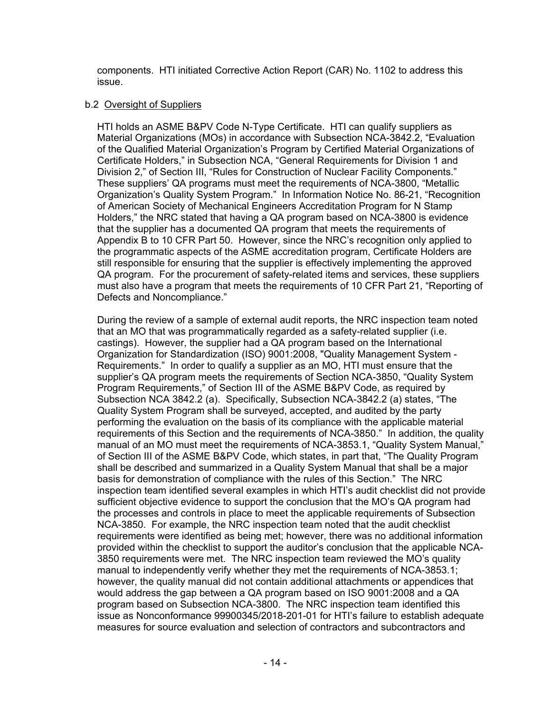components. HTI initiated Corrective Action Report (CAR) No. 1102 to address this issue.

#### b.2 Oversight of Suppliers

HTI holds an ASME B&PV Code N-Type Certificate. HTI can qualify suppliers as Material Organizations (MOs) in accordance with Subsection NCA-3842.2, "Evaluation of the Qualified Material Organization's Program by Certified Material Organizations of Certificate Holders," in Subsection NCA, "General Requirements for Division 1 and Division 2," of Section III, "Rules for Construction of Nuclear Facility Components." These suppliers' QA programs must meet the requirements of NCA-3800, "Metallic Organization's Quality System Program." In Information Notice No. 86-21, "Recognition of American Society of Mechanical Engineers Accreditation Program for N Stamp Holders," the NRC stated that having a QA program based on NCA-3800 is evidence that the supplier has a documented QA program that meets the requirements of Appendix B to 10 CFR Part 50. However, since the NRC's recognition only applied to the programmatic aspects of the ASME accreditation program, Certificate Holders are still responsible for ensuring that the supplier is effectively implementing the approved QA program. For the procurement of safety-related items and services, these suppliers must also have a program that meets the requirements of 10 CFR Part 21, "Reporting of Defects and Noncompliance."

During the review of a sample of external audit reports, the NRC inspection team noted that an MO that was programmatically regarded as a safety-related supplier (i.e. castings). However, the supplier had a QA program based on the International Organization for Standardization (ISO) 9001:2008, "Quality Management System - Requirements." In order to qualify a supplier as an MO, HTI must ensure that the supplier's QA program meets the requirements of Section NCA-3850, "Quality System Program Requirements," of Section III of the ASME B&PV Code, as required by Subsection NCA 3842.2 (a). Specifically, Subsection NCA-3842.2 (a) states, "The Quality System Program shall be surveyed, accepted, and audited by the party performing the evaluation on the basis of its compliance with the applicable material requirements of this Section and the requirements of NCA-3850." In addition, the quality manual of an MO must meet the requirements of NCA-3853.1, "Quality System Manual," of Section III of the ASME B&PV Code, which states, in part that, "The Quality Program shall be described and summarized in a Quality System Manual that shall be a major basis for demonstration of compliance with the rules of this Section." The NRC inspection team identified several examples in which HTI's audit checklist did not provide sufficient objective evidence to support the conclusion that the MO's QA program had the processes and controls in place to meet the applicable requirements of Subsection NCA-3850. For example, the NRC inspection team noted that the audit checklist requirements were identified as being met; however, there was no additional information provided within the checklist to support the auditor's conclusion that the applicable NCA-3850 requirements were met. The NRC inspection team reviewed the MO's quality manual to independently verify whether they met the requirements of NCA-3853.1; however, the quality manual did not contain additional attachments or appendices that would address the gap between a QA program based on ISO 9001:2008 and a QA program based on Subsection NCA-3800. The NRC inspection team identified this issue as Nonconformance 99900345/2018-201-01 for HTI's failure to establish adequate measures for source evaluation and selection of contractors and subcontractors and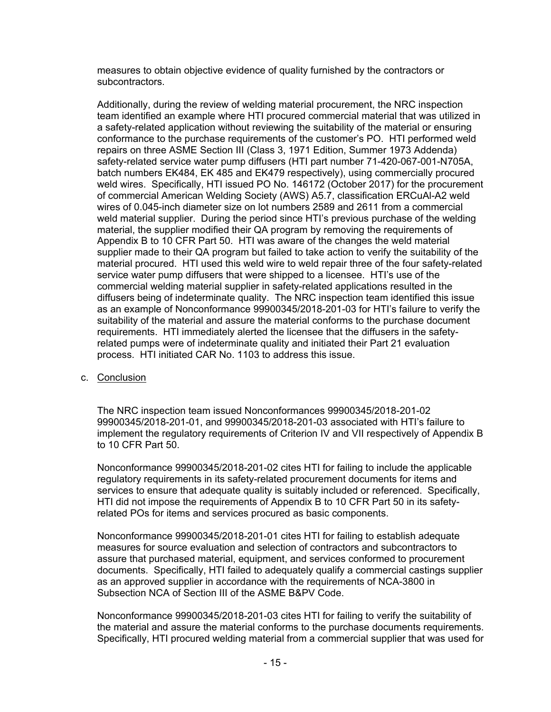measures to obtain objective evidence of quality furnished by the contractors or subcontractors.

Additionally, during the review of welding material procurement, the NRC inspection team identified an example where HTI procured commercial material that was utilized in a safety-related application without reviewing the suitability of the material or ensuring conformance to the purchase requirements of the customer's PO. HTI performed weld repairs on three ASME Section III (Class 3, 1971 Edition, Summer 1973 Addenda) safety-related service water pump diffusers (HTI part number 71-420-067-001-N705A, batch numbers EK484, EK 485 and EK479 respectively), using commercially procured weld wires. Specifically, HTI issued PO No. 146172 (October 2017) for the procurement of commercial American Welding Society (AWS) A5.7, classification ERCuAl-A2 weld wires of 0.045-inch diameter size on lot numbers 2589 and 2611 from a commercial weld material supplier. During the period since HTI's previous purchase of the welding material, the supplier modified their QA program by removing the requirements of Appendix B to 10 CFR Part 50. HTI was aware of the changes the weld material supplier made to their QA program but failed to take action to verify the suitability of the material procured. HTI used this weld wire to weld repair three of the four safety-related service water pump diffusers that were shipped to a licensee. HTI's use of the commercial welding material supplier in safety-related applications resulted in the diffusers being of indeterminate quality. The NRC inspection team identified this issue as an example of Nonconformance 99900345/2018-201-03 for HTI's failure to verify the suitability of the material and assure the material conforms to the purchase document requirements. HTI immediately alerted the licensee that the diffusers in the safetyrelated pumps were of indeterminate quality and initiated their Part 21 evaluation process. HTI initiated CAR No. 1103 to address this issue.

c. Conclusion

The NRC inspection team issued Nonconformances 99900345/2018-201-02 99900345/2018-201-01, and 99900345/2018-201-03 associated with HTI's failure to implement the regulatory requirements of Criterion IV and VII respectively of Appendix B to 10 CFR Part 50.

Nonconformance 99900345/2018-201-02 cites HTI for failing to include the applicable regulatory requirements in its safety-related procurement documents for items and services to ensure that adequate quality is suitably included or referenced. Specifically, HTI did not impose the requirements of Appendix B to 10 CFR Part 50 in its safetyrelated POs for items and services procured as basic components.

Nonconformance 99900345/2018-201-01 cites HTI for failing to establish adequate measures for source evaluation and selection of contractors and subcontractors to assure that purchased material, equipment, and services conformed to procurement documents. Specifically, HTI failed to adequately qualify a commercial castings supplier as an approved supplier in accordance with the requirements of NCA-3800 in Subsection NCA of Section III of the ASME B&PV Code.

Nonconformance 99900345/2018-201-03 cites HTI for failing to verify the suitability of the material and assure the material conforms to the purchase documents requirements. Specifically, HTI procured welding material from a commercial supplier that was used for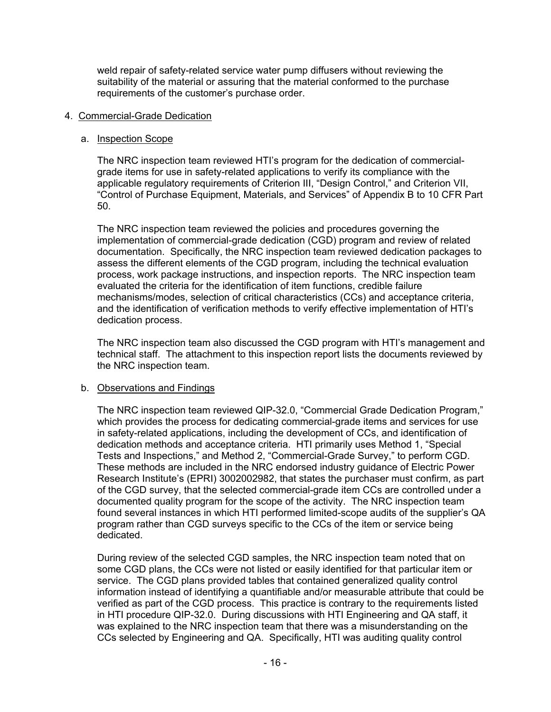weld repair of safety-related service water pump diffusers without reviewing the suitability of the material or assuring that the material conformed to the purchase requirements of the customer's purchase order.

## 4. Commercial-Grade Dedication

## a. Inspection Scope

The NRC inspection team reviewed HTI's program for the dedication of commercialgrade items for use in safety-related applications to verify its compliance with the applicable regulatory requirements of Criterion III, "Design Control," and Criterion VII, "Control of Purchase Equipment, Materials, and Services" of Appendix B to 10 CFR Part 50.

The NRC inspection team reviewed the policies and procedures governing the implementation of commercial-grade dedication (CGD) program and review of related documentation. Specifically, the NRC inspection team reviewed dedication packages to assess the different elements of the CGD program, including the technical evaluation process, work package instructions, and inspection reports. The NRC inspection team evaluated the criteria for the identification of item functions, credible failure mechanisms/modes, selection of critical characteristics (CCs) and acceptance criteria, and the identification of verification methods to verify effective implementation of HTI's dedication process.

The NRC inspection team also discussed the CGD program with HTI's management and technical staff. The attachment to this inspection report lists the documents reviewed by the NRC inspection team.

## b. Observations and Findings

The NRC inspection team reviewed QIP-32.0, "Commercial Grade Dedication Program," which provides the process for dedicating commercial-grade items and services for use in safety-related applications, including the development of CCs, and identification of dedication methods and acceptance criteria. HTI primarily uses Method 1, "Special Tests and Inspections," and Method 2, "Commercial-Grade Survey," to perform CGD. These methods are included in the NRC endorsed industry guidance of Electric Power Research Institute's (EPRI) 3002002982, that states the purchaser must confirm, as part of the CGD survey, that the selected commercial-grade item CCs are controlled under a documented quality program for the scope of the activity. The NRC inspection team found several instances in which HTI performed limited-scope audits of the supplier's QA program rather than CGD surveys specific to the CCs of the item or service being dedicated.

During review of the selected CGD samples, the NRC inspection team noted that on some CGD plans, the CCs were not listed or easily identified for that particular item or service. The CGD plans provided tables that contained generalized quality control information instead of identifying a quantifiable and/or measurable attribute that could be verified as part of the CGD process. This practice is contrary to the requirements listed in HTI procedure QIP-32.0. During discussions with HTI Engineering and QA staff, it was explained to the NRC inspection team that there was a misunderstanding on the CCs selected by Engineering and QA. Specifically, HTI was auditing quality control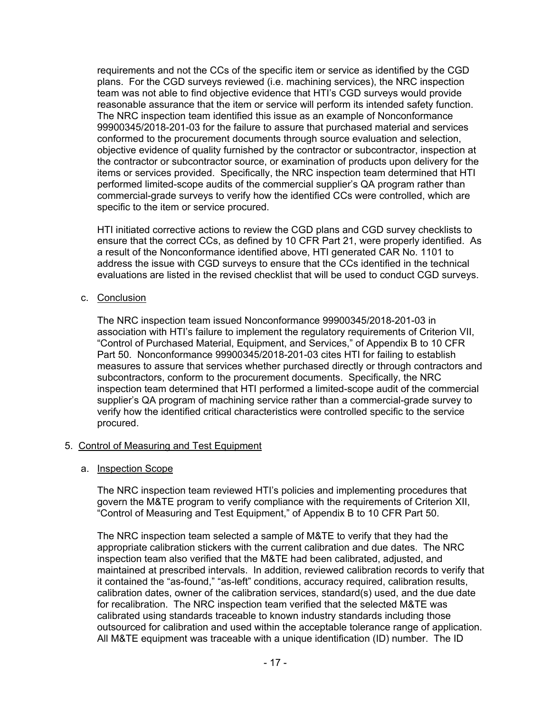requirements and not the CCs of the specific item or service as identified by the CGD plans. For the CGD surveys reviewed (i.e. machining services), the NRC inspection team was not able to find objective evidence that HTI's CGD surveys would provide reasonable assurance that the item or service will perform its intended safety function. The NRC inspection team identified this issue as an example of Nonconformance 99900345/2018-201-03 for the failure to assure that purchased material and services conformed to the procurement documents through source evaluation and selection, objective evidence of quality furnished by the contractor or subcontractor, inspection at the contractor or subcontractor source, or examination of products upon delivery for the items or services provided. Specifically, the NRC inspection team determined that HTI performed limited-scope audits of the commercial supplier's QA program rather than commercial-grade surveys to verify how the identified CCs were controlled, which are specific to the item or service procured.

HTI initiated corrective actions to review the CGD plans and CGD survey checklists to ensure that the correct CCs, as defined by 10 CFR Part 21, were properly identified. As a result of the Nonconformance identified above, HTI generated CAR No. 1101 to address the issue with CGD surveys to ensure that the CCs identified in the technical evaluations are listed in the revised checklist that will be used to conduct CGD surveys.

c. Conclusion

The NRC inspection team issued Nonconformance 99900345/2018-201-03 in association with HTI's failure to implement the regulatory requirements of Criterion VII, "Control of Purchased Material, Equipment, and Services," of Appendix B to 10 CFR Part 50. Nonconformance 99900345/2018-201-03 cites HTI for failing to establish measures to assure that services whether purchased directly or through contractors and subcontractors, conform to the procurement documents. Specifically, the NRC inspection team determined that HTI performed a limited-scope audit of the commercial supplier's QA program of machining service rather than a commercial-grade survey to verify how the identified critical characteristics were controlled specific to the service procured.

## 5. Control of Measuring and Test Equipment

#### a. Inspection Scope

The NRC inspection team reviewed HTI's policies and implementing procedures that govern the M&TE program to verify compliance with the requirements of Criterion XII, "Control of Measuring and Test Equipment," of Appendix B to 10 CFR Part 50.

The NRC inspection team selected a sample of M&TE to verify that they had the appropriate calibration stickers with the current calibration and due dates. The NRC inspection team also verified that the M&TE had been calibrated, adjusted, and maintained at prescribed intervals. In addition, reviewed calibration records to verify that it contained the "as-found," "as-left" conditions, accuracy required, calibration results, calibration dates, owner of the calibration services, standard(s) used, and the due date for recalibration. The NRC inspection team verified that the selected M&TE was calibrated using standards traceable to known industry standards including those outsourced for calibration and used within the acceptable tolerance range of application. All M&TE equipment was traceable with a unique identification (ID) number. The ID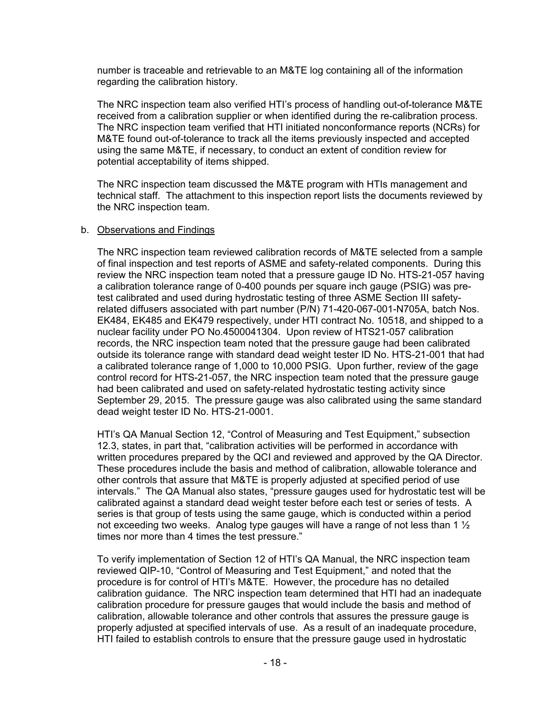number is traceable and retrievable to an M&TE log containing all of the information regarding the calibration history.

The NRC inspection team also verified HTI's process of handling out-of-tolerance M&TE received from a calibration supplier or when identified during the re-calibration process. The NRC inspection team verified that HTI initiated nonconformance reports (NCRs) for M&TE found out-of-tolerance to track all the items previously inspected and accepted using the same M&TE, if necessary, to conduct an extent of condition review for potential acceptability of items shipped.

The NRC inspection team discussed the M&TE program with HTIs management and technical staff. The attachment to this inspection report lists the documents reviewed by the NRC inspection team.

#### b. Observations and Findings

The NRC inspection team reviewed calibration records of M&TE selected from a sample of final inspection and test reports of ASME and safety-related components. During this review the NRC inspection team noted that a pressure gauge ID No. HTS-21-057 having a calibration tolerance range of 0-400 pounds per square inch gauge (PSIG) was pretest calibrated and used during hydrostatic testing of three ASME Section III safetyrelated diffusers associated with part number (P/N) 71-420-067-001-N705A, batch Nos. EK484, EK485 and EK479 respectively, under HTI contract No. 10518, and shipped to a nuclear facility under PO No.4500041304. Upon review of HTS21-057 calibration records, the NRC inspection team noted that the pressure gauge had been calibrated outside its tolerance range with standard dead weight tester ID No. HTS-21-001 that had a calibrated tolerance range of 1,000 to 10,000 PSIG. Upon further, review of the gage control record for HTS-21-057, the NRC inspection team noted that the pressure gauge had been calibrated and used on safety-related hydrostatic testing activity since September 29, 2015. The pressure gauge was also calibrated using the same standard dead weight tester ID No. HTS-21-0001.

HTI's QA Manual Section 12, "Control of Measuring and Test Equipment," subsection 12.3, states, in part that, "calibration activities will be performed in accordance with written procedures prepared by the QCI and reviewed and approved by the QA Director. These procedures include the basis and method of calibration, allowable tolerance and other controls that assure that M&TE is properly adjusted at specified period of use intervals." The QA Manual also states, "pressure gauges used for hydrostatic test will be calibrated against a standard dead weight tester before each test or series of tests. A series is that group of tests using the same gauge, which is conducted within a period not exceeding two weeks. Analog type gauges will have a range of not less than 1  $\frac{1}{2}$ times nor more than 4 times the test pressure."

To verify implementation of Section 12 of HTI's QA Manual, the NRC inspection team reviewed QIP-10, "Control of Measuring and Test Equipment," and noted that the procedure is for control of HTI's M&TE. However, the procedure has no detailed calibration guidance. The NRC inspection team determined that HTI had an inadequate calibration procedure for pressure gauges that would include the basis and method of calibration, allowable tolerance and other controls that assures the pressure gauge is properly adjusted at specified intervals of use. As a result of an inadequate procedure, HTI failed to establish controls to ensure that the pressure gauge used in hydrostatic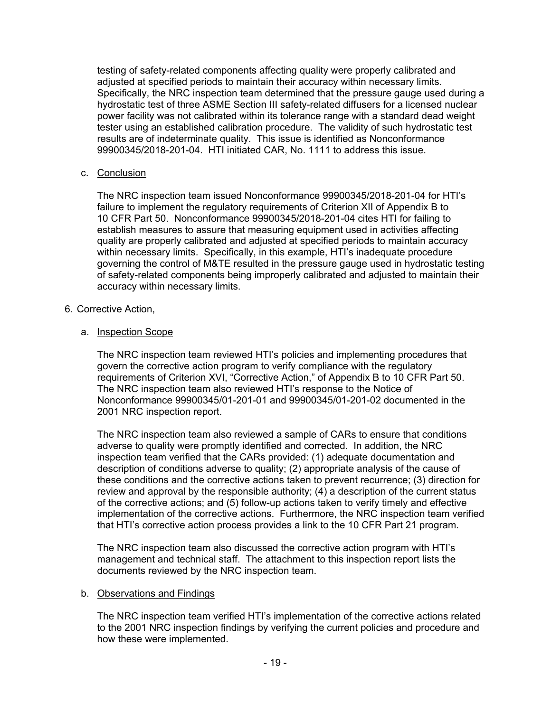testing of safety-related components affecting quality were properly calibrated and adjusted at specified periods to maintain their accuracy within necessary limits. Specifically, the NRC inspection team determined that the pressure gauge used during a hydrostatic test of three ASME Section III safety-related diffusers for a licensed nuclear power facility was not calibrated within its tolerance range with a standard dead weight tester using an established calibration procedure. The validity of such hydrostatic test results are of indeterminate quality. This issue is identified as Nonconformance 99900345/2018-201-04. HTI initiated CAR, No. 1111 to address this issue.

## c. Conclusion

The NRC inspection team issued Nonconformance 99900345/2018-201-04 for HTI's failure to implement the regulatory requirements of Criterion XII of Appendix B to 10 CFR Part 50. Nonconformance 99900345/2018-201-04 cites HTI for failing to establish measures to assure that measuring equipment used in activities affecting quality are properly calibrated and adjusted at specified periods to maintain accuracy within necessary limits. Specifically, in this example, HTI's inadequate procedure governing the control of M&TE resulted in the pressure gauge used in hydrostatic testing of safety-related components being improperly calibrated and adjusted to maintain their accuracy within necessary limits.

## 6. Corrective Action,

## a. Inspection Scope

The NRC inspection team reviewed HTI's policies and implementing procedures that govern the corrective action program to verify compliance with the regulatory requirements of Criterion XVI, "Corrective Action," of Appendix B to 10 CFR Part 50. The NRC inspection team also reviewed HTI's response to the Notice of Nonconformance 99900345/01-201-01 and 99900345/01-201-02 documented in the 2001 NRC inspection report.

The NRC inspection team also reviewed a sample of CARs to ensure that conditions adverse to quality were promptly identified and corrected. In addition, the NRC inspection team verified that the CARs provided: (1) adequate documentation and description of conditions adverse to quality; (2) appropriate analysis of the cause of these conditions and the corrective actions taken to prevent recurrence; (3) direction for review and approval by the responsible authority; (4) a description of the current status of the corrective actions; and (5) follow-up actions taken to verify timely and effective implementation of the corrective actions. Furthermore, the NRC inspection team verified that HTI's corrective action process provides a link to the 10 CFR Part 21 program.

The NRC inspection team also discussed the corrective action program with HTI's management and technical staff. The attachment to this inspection report lists the documents reviewed by the NRC inspection team.

## b. Observations and Findings

The NRC inspection team verified HTI's implementation of the corrective actions related to the 2001 NRC inspection findings by verifying the current policies and procedure and how these were implemented.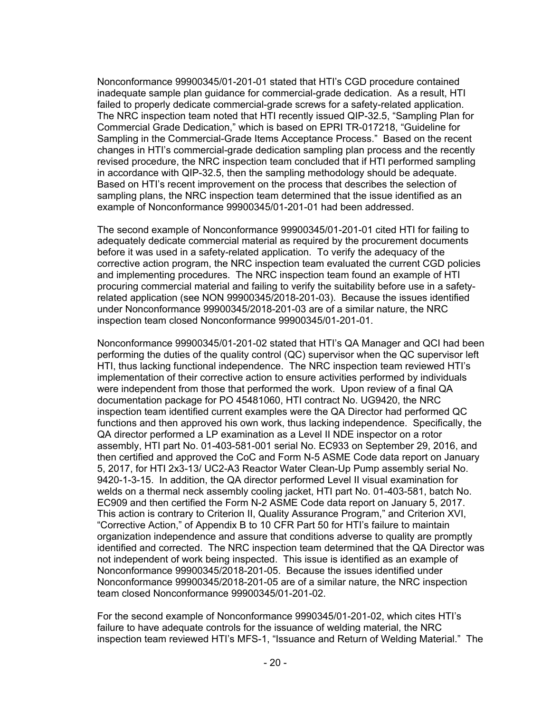Nonconformance 99900345/01-201-01 stated that HTI's CGD procedure contained inadequate sample plan guidance for commercial-grade dedication. As a result, HTI failed to properly dedicate commercial-grade screws for a safety-related application. The NRC inspection team noted that HTI recently issued QIP-32.5, "Sampling Plan for Commercial Grade Dedication," which is based on EPRI TR-017218, "Guideline for Sampling in the Commercial-Grade Items Acceptance Process." Based on the recent changes in HTI's commercial-grade dedication sampling plan process and the recently revised procedure, the NRC inspection team concluded that if HTI performed sampling in accordance with QIP-32.5, then the sampling methodology should be adequate. Based on HTI's recent improvement on the process that describes the selection of sampling plans, the NRC inspection team determined that the issue identified as an example of Nonconformance 99900345/01-201-01 had been addressed.

The second example of Nonconformance 99900345/01-201-01 cited HTI for failing to adequately dedicate commercial material as required by the procurement documents before it was used in a safety-related application. To verify the adequacy of the corrective action program, the NRC inspection team evaluated the current CGD policies and implementing procedures. The NRC inspection team found an example of HTI procuring commercial material and failing to verify the suitability before use in a safetyrelated application (see NON 99900345/2018-201-03). Because the issues identified under Nonconformance 99900345/2018-201-03 are of a similar nature, the NRC inspection team closed Nonconformance 99900345/01-201-01.

Nonconformance 99900345/01-201-02 stated that HTI's QA Manager and QCI had been performing the duties of the quality control (QC) supervisor when the QC supervisor left HTI, thus lacking functional independence. The NRC inspection team reviewed HTI's implementation of their corrective action to ensure activities performed by individuals were independent from those that performed the work. Upon review of a final QA documentation package for PO 45481060, HTI contract No. UG9420, the NRC inspection team identified current examples were the QA Director had performed QC functions and then approved his own work, thus lacking independence. Specifically, the QA director performed a LP examination as a Level II NDE inspector on a rotor assembly, HTI part No. 01-403-581-001 serial No. EC933 on September 29, 2016, and then certified and approved the CoC and Form N-5 ASME Code data report on January 5, 2017, for HTI 2x3-13/ UC2-A3 Reactor Water Clean-Up Pump assembly serial No. 9420-1-3-15. In addition, the QA director performed Level II visual examination for welds on a thermal neck assembly cooling jacket, HTI part No. 01-403-581, batch No. EC909 and then certified the Form N-2 ASME Code data report on January 5, 2017. This action is contrary to Criterion II, Quality Assurance Program," and Criterion XVI, "Corrective Action," of Appendix B to 10 CFR Part 50 for HTI's failure to maintain organization independence and assure that conditions adverse to quality are promptly identified and corrected. The NRC inspection team determined that the QA Director was not independent of work being inspected. This issue is identified as an example of Nonconformance 99900345/2018-201-05. Because the issues identified under Nonconformance 99900345/2018-201-05 are of a similar nature, the NRC inspection team closed Nonconformance 99900345/01-201-02.

For the second example of Nonconformance 9990345/01-201-02, which cites HTI's failure to have adequate controls for the issuance of welding material, the NRC inspection team reviewed HTI's MFS-1, "Issuance and Return of Welding Material." The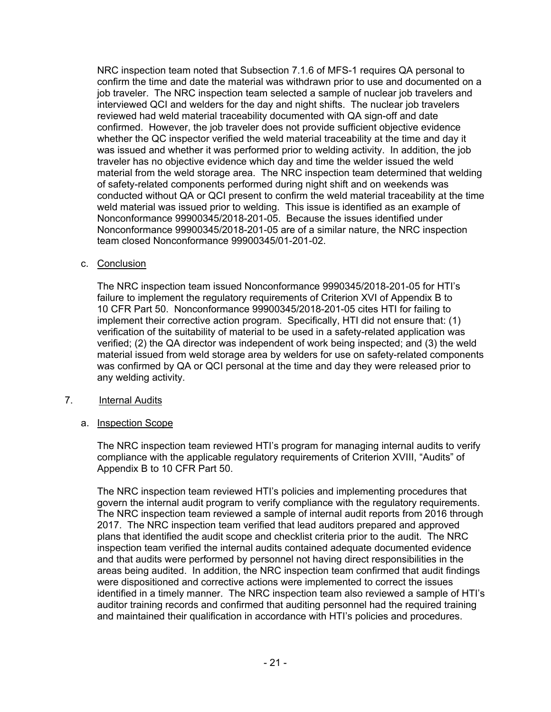NRC inspection team noted that Subsection 7.1.6 of MFS-1 requires QA personal to confirm the time and date the material was withdrawn prior to use and documented on a job traveler. The NRC inspection team selected a sample of nuclear job travelers and interviewed QCI and welders for the day and night shifts. The nuclear job travelers reviewed had weld material traceability documented with QA sign-off and date confirmed. However, the job traveler does not provide sufficient objective evidence whether the QC inspector verified the weld material traceability at the time and day it was issued and whether it was performed prior to welding activity. In addition, the job traveler has no objective evidence which day and time the welder issued the weld material from the weld storage area. The NRC inspection team determined that welding of safety-related components performed during night shift and on weekends was conducted without QA or QCI present to confirm the weld material traceability at the time weld material was issued prior to welding. This issue is identified as an example of Nonconformance 99900345/2018-201-05. Because the issues identified under Nonconformance 99900345/2018-201-05 are of a similar nature, the NRC inspection team closed Nonconformance 99900345/01-201-02.

c. Conclusion

The NRC inspection team issued Nonconformance 9990345/2018-201-05 for HTI's failure to implement the regulatory requirements of Criterion XVI of Appendix B to 10 CFR Part 50. Nonconformance 99900345/2018-201-05 cites HTI for failing to implement their corrective action program. Specifically, HTI did not ensure that: (1) verification of the suitability of material to be used in a safety-related application was verified; (2) the QA director was independent of work being inspected; and (3) the weld material issued from weld storage area by welders for use on safety-related components was confirmed by QA or QCI personal at the time and day they were released prior to any welding activity.

- 7. Internal Audits
	- a. Inspection Scope

The NRC inspection team reviewed HTI's program for managing internal audits to verify compliance with the applicable regulatory requirements of Criterion XVIII, "Audits" of Appendix B to 10 CFR Part 50.

The NRC inspection team reviewed HTI's policies and implementing procedures that govern the internal audit program to verify compliance with the regulatory requirements. The NRC inspection team reviewed a sample of internal audit reports from 2016 through 2017. The NRC inspection team verified that lead auditors prepared and approved plans that identified the audit scope and checklist criteria prior to the audit. The NRC inspection team verified the internal audits contained adequate documented evidence and that audits were performed by personnel not having direct responsibilities in the areas being audited. In addition, the NRC inspection team confirmed that audit findings were dispositioned and corrective actions were implemented to correct the issues identified in a timely manner. The NRC inspection team also reviewed a sample of HTI's auditor training records and confirmed that auditing personnel had the required training and maintained their qualification in accordance with HTI's policies and procedures.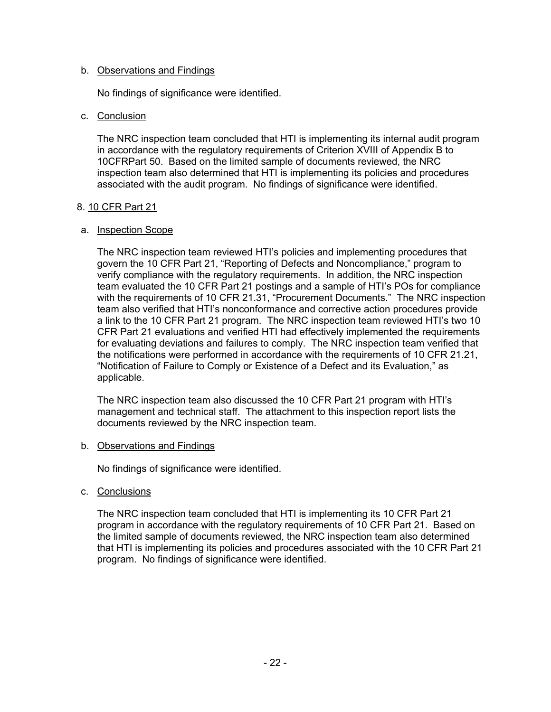#### b. Observations and Findings

No findings of significance were identified.

#### c. Conclusion

The NRC inspection team concluded that HTI is implementing its internal audit program in accordance with the regulatory requirements of Criterion XVIII of Appendix B to 10CFRPart 50. Based on the limited sample of documents reviewed, the NRC inspection team also determined that HTI is implementing its policies and procedures associated with the audit program. No findings of significance were identified.

#### 8. 10 CFR Part 21

#### a. Inspection Scope

The NRC inspection team reviewed HTI's policies and implementing procedures that govern the 10 CFR Part 21, "Reporting of Defects and Noncompliance," program to verify compliance with the regulatory requirements. In addition, the NRC inspection team evaluated the 10 CFR Part 21 postings and a sample of HTI's POs for compliance with the requirements of 10 CFR 21.31, "Procurement Documents." The NRC inspection team also verified that HTI's nonconformance and corrective action procedures provide a link to the 10 CFR Part 21 program. The NRC inspection team reviewed HTI's two 10 CFR Part 21 evaluations and verified HTI had effectively implemented the requirements for evaluating deviations and failures to comply. The NRC inspection team verified that the notifications were performed in accordance with the requirements of 10 CFR 21.21, "Notification of Failure to Comply or Existence of a Defect and its Evaluation," as applicable.

The NRC inspection team also discussed the 10 CFR Part 21 program with HTI's management and technical staff. The attachment to this inspection report lists the documents reviewed by the NRC inspection team.

#### b. Observations and Findings

No findings of significance were identified.

c. Conclusions

The NRC inspection team concluded that HTI is implementing its 10 CFR Part 21 program in accordance with the regulatory requirements of 10 CFR Part 21. Based on the limited sample of documents reviewed, the NRC inspection team also determined that HTI is implementing its policies and procedures associated with the 10 CFR Part 21 program. No findings of significance were identified.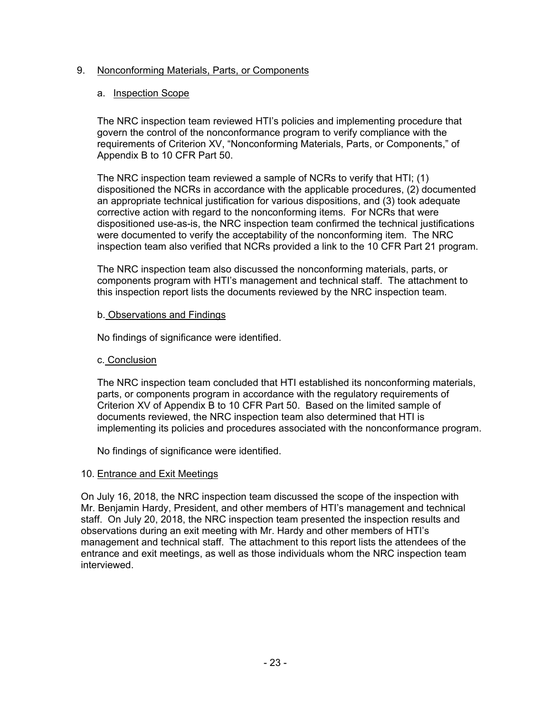## 9. Nonconforming Materials, Parts, or Components

## a. Inspection Scope

The NRC inspection team reviewed HTI's policies and implementing procedure that govern the control of the nonconformance program to verify compliance with the requirements of Criterion XV, "Nonconforming Materials, Parts, or Components," of Appendix B to 10 CFR Part 50.

The NRC inspection team reviewed a sample of NCRs to verify that HTI; (1) dispositioned the NCRs in accordance with the applicable procedures, (2) documented an appropriate technical justification for various dispositions, and (3) took adequate corrective action with regard to the nonconforming items. For NCRs that were dispositioned use-as-is, the NRC inspection team confirmed the technical justifications were documented to verify the acceptability of the nonconforming item. The NRC inspection team also verified that NCRs provided a link to the 10 CFR Part 21 program.

The NRC inspection team also discussed the nonconforming materials, parts, or components program with HTI's management and technical staff. The attachment to this inspection report lists the documents reviewed by the NRC inspection team.

## b. Observations and Findings

No findings of significance were identified.

## c. Conclusion

The NRC inspection team concluded that HTI established its nonconforming materials, parts, or components program in accordance with the regulatory requirements of Criterion XV of Appendix B to 10 CFR Part 50. Based on the limited sample of documents reviewed, the NRC inspection team also determined that HTI is implementing its policies and procedures associated with the nonconformance program.

No findings of significance were identified.

## 10. Entrance and Exit Meetings

On July 16, 2018, the NRC inspection team discussed the scope of the inspection with Mr. Benjamin Hardy, President, and other members of HTI's management and technical staff. On July 20, 2018, the NRC inspection team presented the inspection results and observations during an exit meeting with Mr. Hardy and other members of HTI's management and technical staff. The attachment to this report lists the attendees of the entrance and exit meetings, as well as those individuals whom the NRC inspection team interviewed.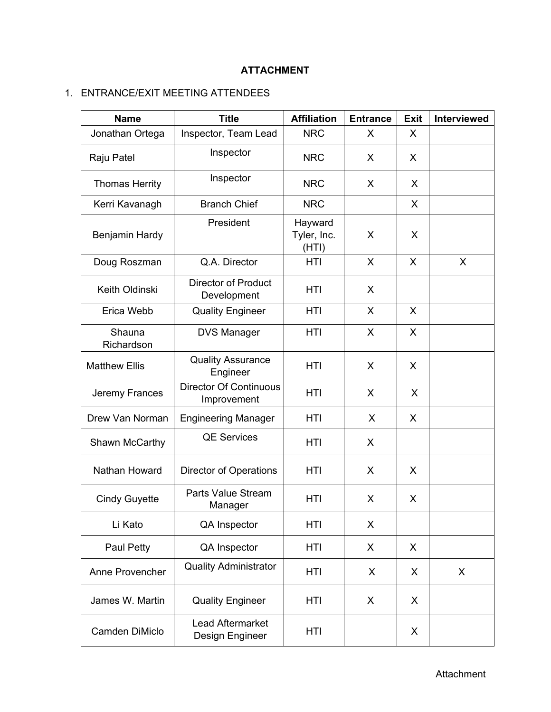# **ATTACHMENT**

# 1. ENTRANCE/EXIT MEETING ATTENDEES

| <b>Name</b>           | <b>Title</b>                                 | <b>Affiliation</b>              | <b>Entrance</b> | <b>Exit</b>  | <b>Interviewed</b> |
|-----------------------|----------------------------------------------|---------------------------------|-----------------|--------------|--------------------|
| Jonathan Ortega       | Inspector, Team Lead                         | <b>NRC</b>                      | X               | X            |                    |
| Raju Patel            | Inspector                                    | <b>NRC</b>                      | X               | X            |                    |
| <b>Thomas Herrity</b> | Inspector                                    | <b>NRC</b>                      | X               | X            |                    |
| Kerri Kavanagh        | <b>Branch Chief</b>                          | <b>NRC</b>                      |                 | $\mathsf{X}$ |                    |
| <b>Benjamin Hardy</b> | President                                    | Hayward<br>Tyler, Inc.<br>(HTI) | X               | X            |                    |
| Doug Roszman          | Q.A. Director                                | HTI                             | X               | X            | X                  |
| Keith Oldinski        | <b>Director of Product</b><br>Development    | HTI                             | X               |              |                    |
| Erica Webb            | <b>Quality Engineer</b>                      | HTI                             | X               | X            |                    |
| Shauna<br>Richardson  | <b>DVS Manager</b>                           | HTI                             | X               | X            |                    |
| <b>Matthew Ellis</b>  | <b>Quality Assurance</b><br>Engineer         | <b>HTI</b>                      | X               | X            |                    |
| Jeremy Frances        | <b>Director Of Continuous</b><br>Improvement | <b>HTI</b>                      | X               | $\mathsf{X}$ |                    |
| Drew Van Norman       | <b>Engineering Manager</b>                   | HTI                             | X               | X            |                    |
| Shawn McCarthy        | <b>QE Services</b>                           | HTI                             | X               |              |                    |
| Nathan Howard         | <b>Director of Operations</b>                | HTI                             | X               | X            |                    |
| <b>Cindy Guyette</b>  | Parts Value Stream<br>Manager                | HTI                             | X               | X            |                    |
| Li Kato               | <b>QA Inspector</b>                          | <b>HTI</b>                      | X               |              |                    |
| Paul Petty            | QA Inspector                                 | <b>HTI</b>                      | X               | X            |                    |
| Anne Provencher       | <b>Quality Administrator</b>                 | <b>HTI</b>                      | X               | X            | X                  |
| James W. Martin       | <b>Quality Engineer</b>                      | HTI                             | X               | X            |                    |
| Camden DiMiclo        | <b>Lead Aftermarket</b><br>Design Engineer   | <b>HTI</b>                      |                 | X            |                    |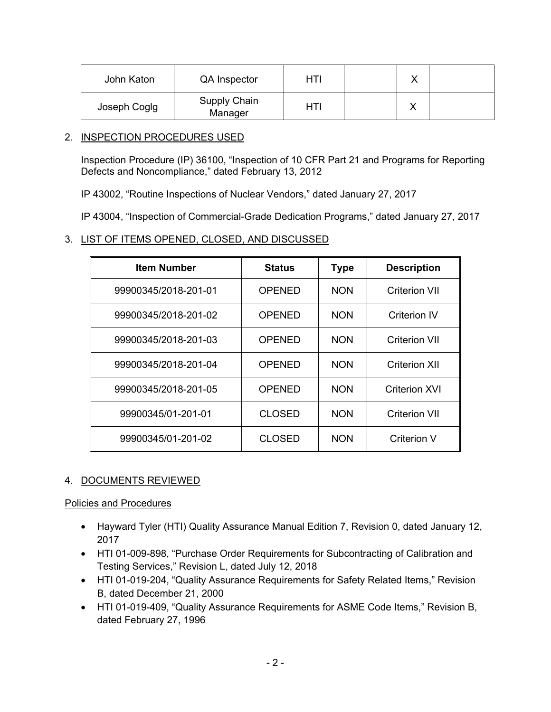| John Katon   | <b>QA</b> Inspector            | HTI | v<br>↗ |  |
|--------------|--------------------------------|-----|--------|--|
| Joseph Coglg | <b>Supply Chain</b><br>Manager | HTI |        |  |

## 2. INSPECTION PROCEDURES USED

Inspection Procedure (IP) 36100, "Inspection of 10 CFR Part 21 and Programs for Reporting Defects and Noncompliance," dated February 13, 2012

IP 43002, "Routine Inspections of Nuclear Vendors," dated January 27, 2017

IP 43004, "Inspection of Commercial-Grade Dedication Programs," dated January 27, 2017

## 3. LIST OF ITEMS OPENED, CLOSED, AND DISCUSSED

| <b>Item Number</b>   | <b>Status</b> | <b>Type</b> | <b>Description</b>   |
|----------------------|---------------|-------------|----------------------|
| 99900345/2018-201-01 | OPENED        | <b>NON</b>  | Criterion VII        |
| 99900345/2018-201-02 | OPENED        | <b>NON</b>  | Criterion IV         |
| 99900345/2018-201-03 | <b>OPENED</b> | <b>NON</b>  | <b>Criterion VII</b> |
| 99900345/2018-201-04 | <b>OPENED</b> | <b>NON</b>  | <b>Criterion XII</b> |
| 99900345/2018-201-05 | OPENED        | <b>NON</b>  | Criterion XVI        |
| 99900345/01-201-01   | <b>CLOSED</b> | <b>NON</b>  | <b>Criterion VII</b> |
| 99900345/01-201-02   | <b>CLOSED</b> | <b>NON</b>  | <b>Criterion V</b>   |

# 4. DOCUMENTS REVIEWED

Policies and Procedures

- Hayward Tyler (HTI) Quality Assurance Manual Edition 7, Revision 0, dated January 12, 2017
- HTI 01-009-898, "Purchase Order Requirements for Subcontracting of Calibration and Testing Services," Revision L, dated July 12, 2018
- HTI 01-019-204, "Quality Assurance Requirements for Safety Related Items," Revision B, dated December 21, 2000
- HTI 01-019-409, "Quality Assurance Requirements for ASME Code Items," Revision B, dated February 27, 1996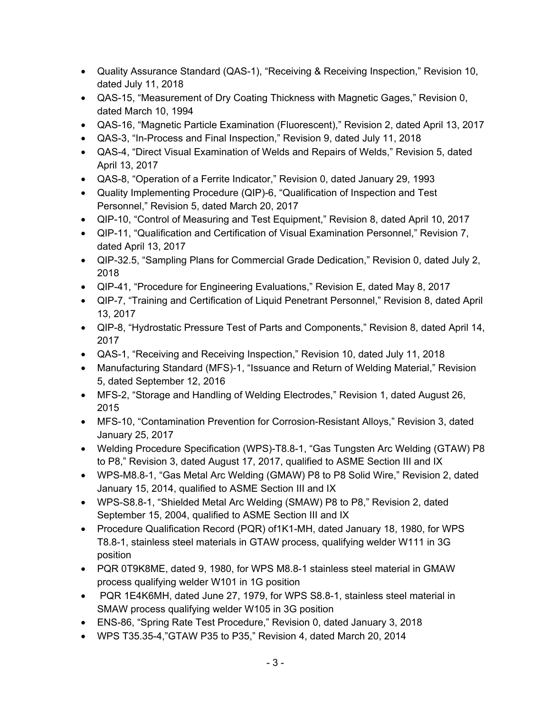- Quality Assurance Standard (QAS-1), "Receiving & Receiving Inspection," Revision 10, dated July 11, 2018
- QAS-15, "Measurement of Dry Coating Thickness with Magnetic Gages," Revision 0, dated March 10, 1994
- QAS-16, "Magnetic Particle Examination (Fluorescent)," Revision 2, dated April 13, 2017
- QAS-3, "In-Process and Final Inspection," Revision 9, dated July 11, 2018
- QAS-4, "Direct Visual Examination of Welds and Repairs of Welds," Revision 5, dated April 13, 2017
- QAS-8, "Operation of a Ferrite Indicator," Revision 0, dated January 29, 1993
- Quality Implementing Procedure (QIP)-6, "Qualification of Inspection and Test Personnel," Revision 5, dated March 20, 2017
- QIP-10, "Control of Measuring and Test Equipment," Revision 8, dated April 10, 2017
- QIP-11, "Qualification and Certification of Visual Examination Personnel," Revision 7, dated April 13, 2017
- QIP-32.5, "Sampling Plans for Commercial Grade Dedication," Revision 0, dated July 2, 2018
- QIP-41, "Procedure for Engineering Evaluations," Revision E, dated May 8, 2017
- QIP-7, "Training and Certification of Liquid Penetrant Personnel," Revision 8, dated April 13, 2017
- QIP-8, "Hydrostatic Pressure Test of Parts and Components," Revision 8, dated April 14, 2017
- QAS-1, "Receiving and Receiving Inspection," Revision 10, dated July 11, 2018
- Manufacturing Standard (MFS)-1, "Issuance and Return of Welding Material," Revision 5, dated September 12, 2016
- MFS-2, "Storage and Handling of Welding Electrodes," Revision 1, dated August 26, 2015
- MFS-10, "Contamination Prevention for Corrosion-Resistant Alloys," Revision 3, dated January 25, 2017
- Welding Procedure Specification (WPS)-T8.8-1, "Gas Tungsten Arc Welding (GTAW) P8 to P8," Revision 3, dated August 17, 2017, qualified to ASME Section III and IX
- WPS-M8.8-1, "Gas Metal Arc Welding (GMAW) P8 to P8 Solid Wire," Revision 2, dated January 15, 2014, qualified to ASME Section III and IX
- WPS-S8.8-1, "Shielded Metal Arc Welding (SMAW) P8 to P8," Revision 2, dated September 15, 2004, qualified to ASME Section III and IX
- Procedure Qualification Record (PQR) of1K1-MH, dated January 18, 1980, for WPS T8.8-1, stainless steel materials in GTAW process, qualifying welder W111 in 3G position
- PQR 0T9K8ME, dated 9, 1980, for WPS M8.8-1 stainless steel material in GMAW process qualifying welder W101 in 1G position
- PQR 1E4K6MH, dated June 27, 1979, for WPS S8.8-1, stainless steel material in SMAW process qualifying welder W105 in 3G position
- ENS-86, "Spring Rate Test Procedure," Revision 0, dated January 3, 2018
- WPS T35.35-4,"GTAW P35 to P35," Revision 4, dated March 20, 2014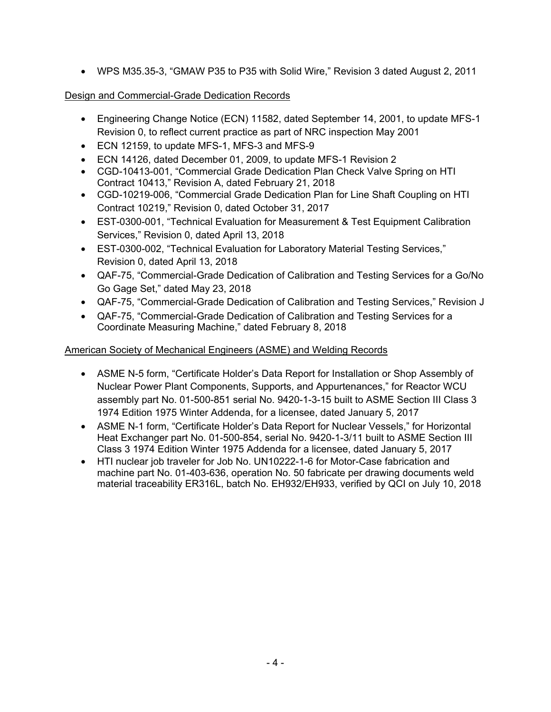• WPS M35.35-3, "GMAW P35 to P35 with Solid Wire," Revision 3 dated August 2, 2011

# Design and Commercial-Grade Dedication Records

- Engineering Change Notice (ECN) 11582, dated September 14, 2001, to update MFS-1 Revision 0, to reflect current practice as part of NRC inspection May 2001
- ECN 12159, to update MFS-1, MFS-3 and MFS-9
- ECN 14126, dated December 01, 2009, to update MFS-1 Revision 2
- CGD-10413-001, "Commercial Grade Dedication Plan Check Valve Spring on HTI Contract 10413," Revision A, dated February 21, 2018
- CGD-10219-006, "Commercial Grade Dedication Plan for Line Shaft Coupling on HTI Contract 10219," Revision 0, dated October 31, 2017
- EST-0300-001, "Technical Evaluation for Measurement & Test Equipment Calibration Services," Revision 0, dated April 13, 2018
- EST-0300-002, "Technical Evaluation for Laboratory Material Testing Services," Revision 0, dated April 13, 2018
- QAF-75, "Commercial-Grade Dedication of Calibration and Testing Services for a Go/No Go Gage Set," dated May 23, 2018
- QAF-75, "Commercial-Grade Dedication of Calibration and Testing Services," Revision J
- QAF-75, "Commercial-Grade Dedication of Calibration and Testing Services for a Coordinate Measuring Machine," dated February 8, 2018

# American Society of Mechanical Engineers (ASME) and Welding Records

- ASME N-5 form, "Certificate Holder's Data Report for Installation or Shop Assembly of Nuclear Power Plant Components, Supports, and Appurtenances," for Reactor WCU assembly part No. 01-500-851 serial No. 9420-1-3-15 built to ASME Section III Class 3 1974 Edition 1975 Winter Addenda, for a licensee, dated January 5, 2017
- ASME N-1 form, "Certificate Holder's Data Report for Nuclear Vessels," for Horizontal Heat Exchanger part No. 01-500-854, serial No. 9420-1-3/11 built to ASME Section III Class 3 1974 Edition Winter 1975 Addenda for a licensee, dated January 5, 2017
- HTI nuclear job traveler for Job No. UN10222-1-6 for Motor-Case fabrication and machine part No. 01-403-636, operation No. 50 fabricate per drawing documents weld material traceability ER316L, batch No. EH932/EH933, verified by QCI on July 10, 2018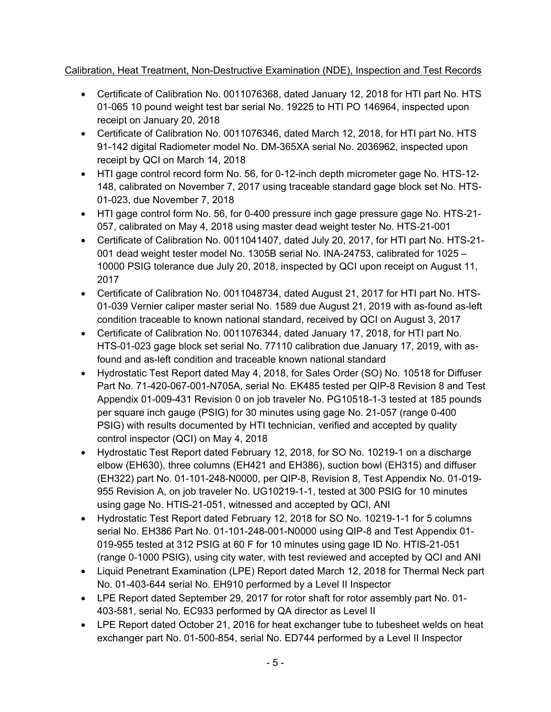# Calibration, Heat Treatment, Non-Destructive Examination (NDE), Inspection and Test Records

- Certificate of Calibration No. 0011076368, dated January 12, 2018 for HTI part No. HTS 01-065 10 pound weight test bar serial No. 19225 to HTI PO 146964, inspected upon receipt on January 20, 2018
- Certificate of Calibration No. 0011076346, dated March 12, 2018, for HTI part No. HTS 91-142 digital Radiometer model No. DM-365XA serial No. 2036962, inspected upon receipt by QCI on March 14, 2018
- HTI gage control record form No. 56, for 0-12-inch depth micrometer gage No. HTS-12- 148, calibrated on November 7, 2017 using traceable standard gage block set No. HTS-01-023, due November 7, 2018
- HTI gage control form No. 56, for 0-400 pressure inch gage pressure gage No. HTS-21- 057, calibrated on May 4, 2018 using master dead weight tester No. HTS-21-001
- Certificate of Calibration No. 0011041407, dated July 20, 2017, for HTI part No. HTS-21- 001 dead weight tester model No. 1305B serial No. INA-24753, calibrated for 1025 – 10000 PSIG tolerance due July 20, 2018, inspected by QCI upon receipt on August 11, 2017
- Certificate of Calibration No. 0011048734, dated August 21, 2017 for HTI part No. HTS-01-039 Vernier caliper master serial No. 1589 due August 21, 2019 with as-found as-left condition traceable to known national standard, received by QCI on August 3, 2017
- Certificate of Calibration No. 0011076344, dated January 17, 2018, for HTI part No. HTS-01-023 gage block set serial No. 77110 calibration due January 17, 2019, with asfound and as-left condition and traceable known national standard
- Hydrostatic Test Report dated May 4, 2018, for Sales Order (SO) No. 10518 for Diffuser Part No. 71-420-067-001-N705A, serial No. EK485 tested per QIP-8 Revision 8 and Test Appendix 01-009-431 Revision 0 on job traveler No. PG10518-1-3 tested at 185 pounds per square inch gauge (PSIG) for 30 minutes using gage No. 21-057 (range 0-400 PSIG) with results documented by HTI technician, verified and accepted by quality control inspector (QCI) on May 4, 2018
- Hydrostatic Test Report dated February 12, 2018, for SO No. 10219-1 on a discharge elbow (EH630), three columns (EH421 and EH386), suction bowl (EH315) and diffuser (EH322) part No. 01-101-248-N0000, per QIP-8, Revision 8, Test Appendix No. 01-019- 955 Revision A, on job traveler No. UG10219-1-1, tested at 300 PSIG for 10 minutes using gage No. HTIS-21-051, witnessed and accepted by QCI, ANI
- Hydrostatic Test Report dated February 12, 2018 for SO No. 10219-1-1 for 5 columns serial No. EH386 Part No. 01-101-248-001-N0000 using QIP-8 and Test Appendix 01- 019-955 tested at 312 PSIG at 60 F for 10 minutes using gage ID No. HTIS-21-051 (range 0-1000 PSIG), using city water, with test reviewed and accepted by QCI and ANI
- Liquid Penetrant Examination (LPE) Report dated March 12, 2018 for Thermal Neck part No. 01-403-644 serial No. EH910 performed by a Level II Inspector
- LPE Report dated September 29, 2017 for rotor shaft for rotor assembly part No. 01- 403-581, serial No. EC933 performed by QA director as Level II
- LPE Report dated October 21, 2016 for heat exchanger tube to tubesheet welds on heat exchanger part No. 01-500-854, serial No. ED744 performed by a Level II Inspector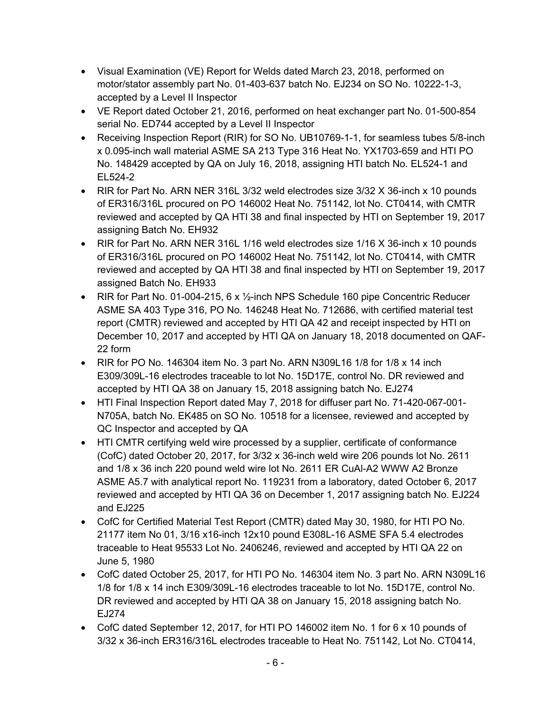- Visual Examination (VE) Report for Welds dated March 23, 2018, performed on motor/stator assembly part No. 01-403-637 batch No. EJ234 on SO No. 10222-1-3, accepted by a Level II Inspector
- VE Report dated October 21, 2016, performed on heat exchanger part No. 01-500-854 serial No. ED744 accepted by a Level II Inspector
- Receiving Inspection Report (RIR) for SO No. UB10769-1-1, for seamless tubes 5/8-inch x 0.095-inch wall material ASME SA 213 Type 316 Heat No. YX1703-659 and HTI PO No. 148429 accepted by QA on July 16, 2018, assigning HTI batch No. EL524-1 and EL524-2
- RIR for Part No. ARN NER 316L 3/32 weld electrodes size 3/32 X 36-inch x 10 pounds of ER316/316L procured on PO 146002 Heat No. 751142, lot No. CT0414, with CMTR reviewed and accepted by QA HTI 38 and final inspected by HTI on September 19, 2017 assigning Batch No. EH932
- RIR for Part No. ARN NER 316L 1/16 weld electrodes size 1/16 X 36-inch x 10 pounds of ER316/316L procured on PO 146002 Heat No. 751142, lot No. CT0414, with CMTR reviewed and accepted by QA HTI 38 and final inspected by HTI on September 19, 2017 assigned Batch No. EH933
- RIR for Part No. 01-004-215, 6 x 1/2-inch NPS Schedule 160 pipe Concentric Reducer ASME SA 403 Type 316, PO No. 146248 Heat No. 712686, with certified material test report (CMTR) reviewed and accepted by HTI QA 42 and receipt inspected by HTI on December 10, 2017 and accepted by HTI QA on January 18, 2018 documented on QAF-22 form
- RIR for PO No. 146304 item No. 3 part No. ARN N309L16 1/8 for 1/8 x 14 inch E309/309L-16 electrodes traceable to lot No. 15D17E, control No. DR reviewed and accepted by HTI QA 38 on January 15, 2018 assigning batch No. EJ274
- HTI Final Inspection Report dated May 7, 2018 for diffuser part No. 71-420-067-001- N705A, batch No. EK485 on SO No. 10518 for a licensee, reviewed and accepted by QC Inspector and accepted by QA
- HTI CMTR certifying weld wire processed by a supplier, certificate of conformance (CofC) dated October 20, 2017, for 3/32 x 36-inch weld wire 206 pounds lot No. 2611 and 1/8 x 36 inch 220 pound weld wire lot No. 2611 ER CuAl-A2 WWW A2 Bronze ASME A5.7 with analytical report No. 119231 from a laboratory, dated October 6, 2017 reviewed and accepted by HTI QA 36 on December 1, 2017 assigning batch No. EJ224 and EJ225
- CofC for Certified Material Test Report (CMTR) dated May 30, 1980, for HTI PO No. 21177 item No 01, 3/16 x16-inch 12x10 pound E308L-16 ASME SFA 5.4 electrodes traceable to Heat 95533 Lot No. 2406246, reviewed and accepted by HTI QA 22 on June 5, 1980
- CofC dated October 25, 2017, for HTI PO No. 146304 item No. 3 part No. ARN N309L16 1/8 for 1/8 x 14 inch E309/309L-16 electrodes traceable to lot No. 15D17E, control No. DR reviewed and accepted by HTI QA 38 on January 15, 2018 assigning batch No. EJ274
- CofC dated September 12, 2017, for HTI PO 146002 item No. 1 for 6 x 10 pounds of 3/32 x 36-inch ER316/316L electrodes traceable to Heat No. 751142, Lot No. CT0414,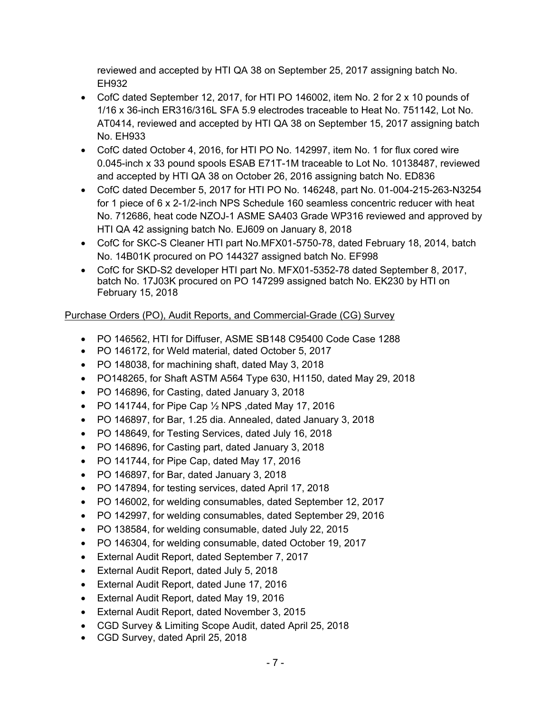reviewed and accepted by HTI QA 38 on September 25, 2017 assigning batch No. EH932

- CofC dated September 12, 2017, for HTI PO 146002, item No. 2 for 2 x 10 pounds of 1/16 x 36-inch ER316/316L SFA 5.9 electrodes traceable to Heat No. 751142, Lot No. AT0414, reviewed and accepted by HTI QA 38 on September 15, 2017 assigning batch No. EH933
- CofC dated October 4, 2016, for HTI PO No. 142997, item No. 1 for flux cored wire 0.045-inch x 33 pound spools ESAB E71T-1M traceable to Lot No. 10138487, reviewed and accepted by HTI QA 38 on October 26, 2016 assigning batch No. ED836
- CofC dated December 5, 2017 for HTI PO No. 146248, part No. 01-004-215-263-N3254 for 1 piece of 6 x 2-1/2-inch NPS Schedule 160 seamless concentric reducer with heat No. 712686, heat code NZOJ-1 ASME SA403 Grade WP316 reviewed and approved by HTI QA 42 assigning batch No. EJ609 on January 8, 2018
- CofC for SKC-S Cleaner HTI part No.MFX01-5750-78, dated February 18, 2014, batch No. 14B01K procured on PO 144327 assigned batch No. EF998
- CofC for SKD-S2 developer HTI part No. MFX01-5352-78 dated September 8, 2017, batch No. 17J03K procured on PO 147299 assigned batch No. EK230 by HTI on February 15, 2018

# Purchase Orders (PO), Audit Reports, and Commercial-Grade (CG) Survey

- PO 146562, HTI for Diffuser, ASME SB148 C95400 Code Case 1288
- PO 146172, for Weld material, dated October 5, 2017
- PO 148038, for machining shaft, dated May 3, 2018
- PO148265, for Shaft ASTM A564 Type 630, H1150, dated May 29, 2018
- PO 146896, for Casting, dated January 3, 2018
- PO 141744, for Pipe Cap ½ NPS ,dated May 17, 2016
- PO 146897, for Bar, 1.25 dia. Annealed, dated January 3, 2018
- PO 148649, for Testing Services, dated July 16, 2018
- PO 146896, for Casting part, dated January 3, 2018
- PO 141744, for Pipe Cap, dated May 17, 2016
- PO 146897, for Bar, dated January 3, 2018
- PO 147894, for testing services, dated April 17, 2018
- PO 146002, for welding consumables, dated September 12, 2017
- PO 142997, for welding consumables, dated September 29, 2016
- PO 138584, for welding consumable, dated July 22, 2015
- PO 146304, for welding consumable, dated October 19, 2017
- External Audit Report, dated September 7, 2017
- External Audit Report, dated July 5, 2018
- External Audit Report, dated June 17, 2016
- External Audit Report, dated May 19, 2016
- External Audit Report, dated November 3, 2015
- CGD Survey & Limiting Scope Audit, dated April 25, 2018
- CGD Survey, dated April 25, 2018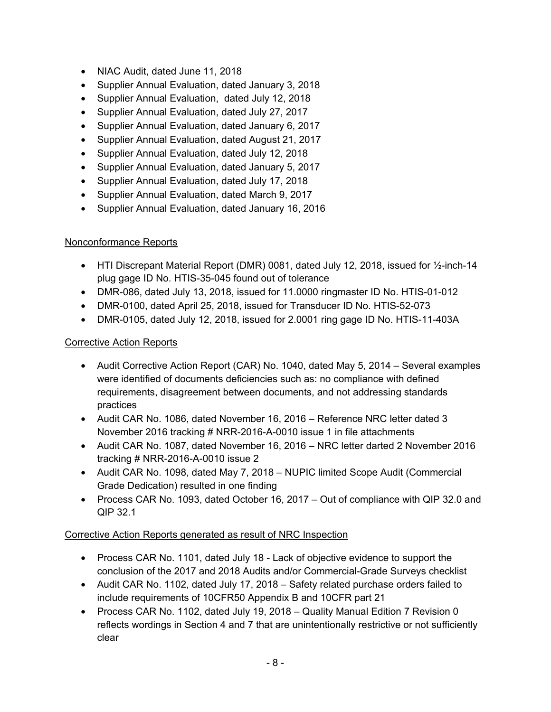- NIAC Audit, dated June 11, 2018
- Supplier Annual Evaluation, dated January 3, 2018
- Supplier Annual Evaluation, dated July 12, 2018
- Supplier Annual Evaluation, dated July 27, 2017
- Supplier Annual Evaluation, dated January 6, 2017
- Supplier Annual Evaluation, dated August 21, 2017
- Supplier Annual Evaluation, dated July 12, 2018
- Supplier Annual Evaluation, dated January 5, 2017
- Supplier Annual Evaluation, dated July 17, 2018
- Supplier Annual Evaluation, dated March 9, 2017
- Supplier Annual Evaluation, dated January 16, 2016

# Nonconformance Reports

- HTI Discrepant Material Report (DMR) 0081, dated July 12, 2018, issued for  $\frac{1}{2}$ -inch-14 plug gage ID No. HTIS-35-045 found out of tolerance
- DMR-086, dated July 13, 2018, issued for 11.0000 ringmaster ID No. HTIS-01-012
- DMR-0100, dated April 25, 2018, issued for Transducer ID No. HTIS-52-073
- DMR-0105, dated July 12, 2018, issued for 2.0001 ring gage ID No. HTIS-11-403A

## Corrective Action Reports

- Audit Corrective Action Report (CAR) No. 1040, dated May 5, 2014 Several examples were identified of documents deficiencies such as: no compliance with defined requirements, disagreement between documents, and not addressing standards practices
- Audit CAR No. 1086, dated November 16, 2016 Reference NRC letter dated 3 November 2016 tracking # NRR-2016-A-0010 issue 1 in file attachments
- Audit CAR No. 1087, dated November 16, 2016 NRC letter darted 2 November 2016 tracking # NRR-2016-A-0010 issue 2
- Audit CAR No. 1098, dated May 7, 2018 NUPIC limited Scope Audit (Commercial Grade Dedication) resulted in one finding
- Process CAR No. 1093, dated October 16, 2017 Out of compliance with QIP 32.0 and QIP 32.1

# Corrective Action Reports generated as result of NRC Inspection

- Process CAR No. 1101, dated July 18 Lack of objective evidence to support the conclusion of the 2017 and 2018 Audits and/or Commercial-Grade Surveys checklist
- Audit CAR No. 1102, dated July 17, 2018 Safety related purchase orders failed to include requirements of 10CFR50 Appendix B and 10CFR part 21
- Process CAR No. 1102, dated July 19, 2018 Quality Manual Edition 7 Revision 0 reflects wordings in Section 4 and 7 that are unintentionally restrictive or not sufficiently clear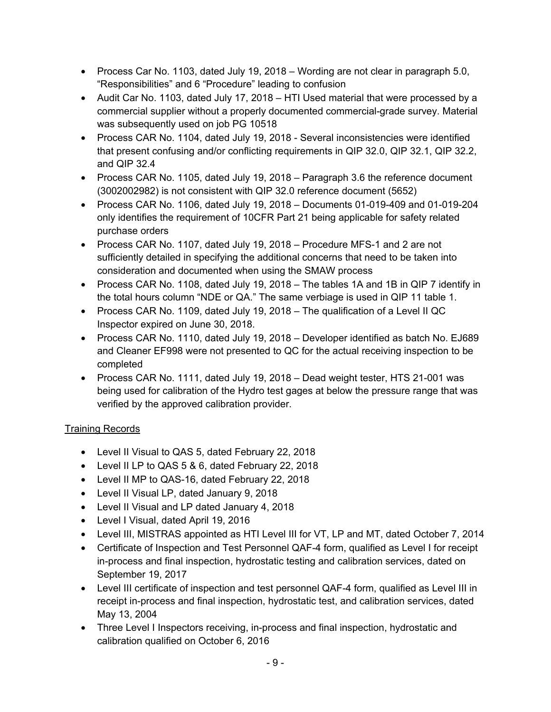- Process Car No. 1103, dated July 19, 2018 Wording are not clear in paragraph 5.0, "Responsibilities" and 6 "Procedure" leading to confusion
- Audit Car No. 1103, dated July 17, 2018 HTI Used material that were processed by a commercial supplier without a properly documented commercial-grade survey. Material was subsequently used on job PG 10518
- Process CAR No. 1104, dated July 19, 2018 Several inconsistencies were identified that present confusing and/or conflicting requirements in QIP 32.0, QIP 32.1, QIP 32.2, and QIP 32.4
- Process CAR No. 1105, dated July 19, 2018 Paragraph 3.6 the reference document (3002002982) is not consistent with QIP 32.0 reference document (5652)
- Process CAR No. 1106, dated July 19, 2018 Documents 01-019-409 and 01-019-204 only identifies the requirement of 10CFR Part 21 being applicable for safety related purchase orders
- Process CAR No. 1107, dated July 19, 2018 Procedure MFS-1 and 2 are not sufficiently detailed in specifying the additional concerns that need to be taken into consideration and documented when using the SMAW process
- Process CAR No. 1108, dated July 19, 2018 The tables 1A and 1B in QIP 7 identify in the total hours column "NDE or QA." The same verbiage is used in QIP 11 table 1.
- Process CAR No. 1109, dated July 19, 2018 The qualification of a Level II QC Inspector expired on June 30, 2018.
- Process CAR No. 1110, dated July 19, 2018 Developer identified as batch No. EJ689 and Cleaner EF998 were not presented to QC for the actual receiving inspection to be completed
- Process CAR No. 1111, dated July 19, 2018 Dead weight tester, HTS 21-001 was being used for calibration of the Hydro test gages at below the pressure range that was verified by the approved calibration provider.

# Training Records

- Level II Visual to QAS 5, dated February 22, 2018
- Level II LP to QAS 5 & 6, dated February 22, 2018
- Level II MP to QAS-16, dated February 22, 2018
- Level II Visual LP, dated January 9, 2018
- Level II Visual and LP dated January 4, 2018
- Level I Visual, dated April 19, 2016
- Level III, MISTRAS appointed as HTI Level III for VT, LP and MT, dated October 7, 2014
- Certificate of Inspection and Test Personnel QAF-4 form, qualified as Level I for receipt in-process and final inspection, hydrostatic testing and calibration services, dated on September 19, 2017
- Level III certificate of inspection and test personnel QAF-4 form, qualified as Level III in receipt in-process and final inspection, hydrostatic test, and calibration services, dated May 13, 2004
- Three Level I Inspectors receiving, in-process and final inspection, hydrostatic and calibration qualified on October 6, 2016